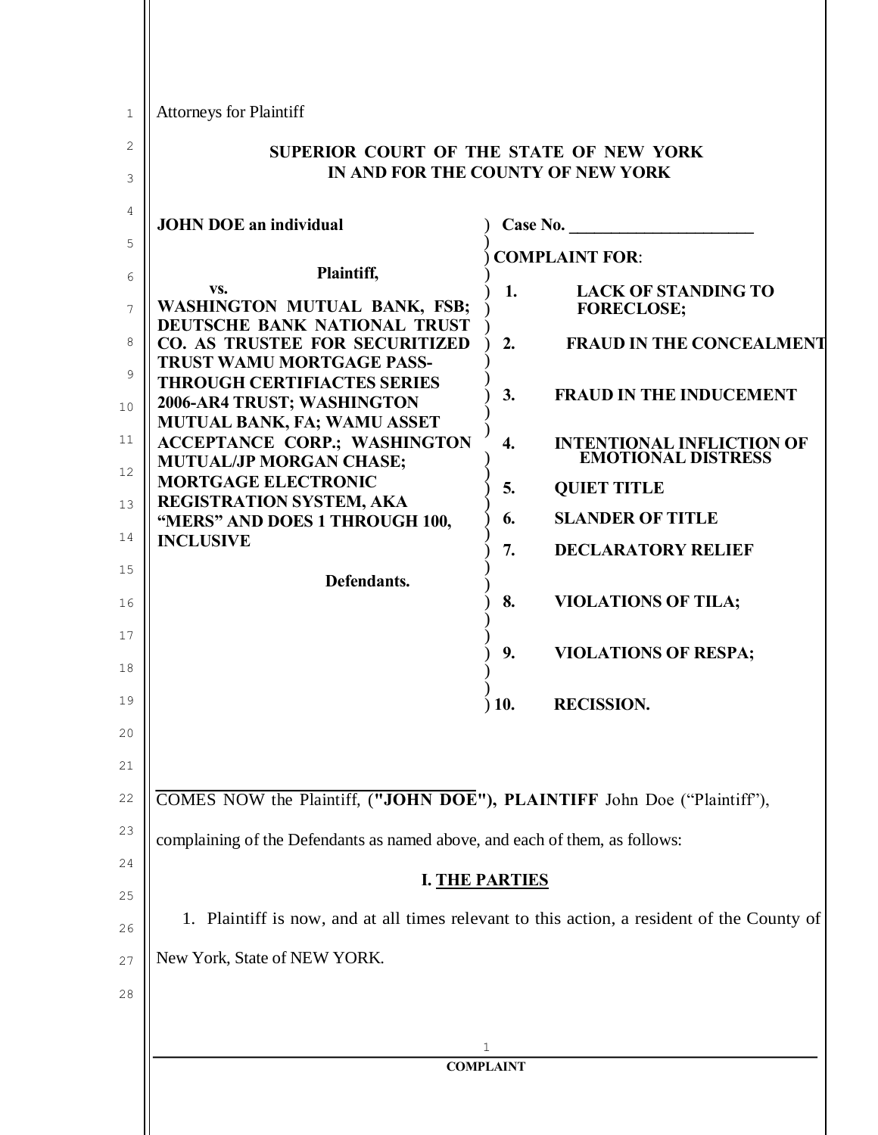| 1        | <b>Attorneys for Plaintiff</b>                                                                              |                  |                                                               |
|----------|-------------------------------------------------------------------------------------------------------------|------------------|---------------------------------------------------------------|
| 2        | SUPERIOR COURT OF THE STATE OF NEW YORK                                                                     |                  |                                                               |
| 3        | IN AND FOR THE COUNTY OF NEW YORK                                                                           |                  |                                                               |
| 4        | <b>JOHN DOE an individual</b>                                                                               |                  | Case No.                                                      |
| 5<br>6   | Plaintiff,                                                                                                  |                  | <b>COMPLAINT FOR:</b>                                         |
| 7        | VS.<br>WASHINGTON MUTUAL BANK, FSB;                                                                         | 1.               | <b>LACK OF STANDING TO</b><br><b>FORECLOSE;</b>               |
| 8        | DEUTSCHE BANK NATIONAL TRUST<br><b>CO. AS TRUSTEE FOR SECURITIZED</b><br><b>TRUST WAMU MORTGAGE PASS-</b>   | 2.               | <b>FRAUD IN THE CONCEALMENT</b>                               |
| 9<br>10  | <b>THROUGH CERTIFIACTES SERIES</b><br>2006-AR4 TRUST; WASHINGTON                                            | 3.               | <b>FRAUD IN THE INDUCEMENT</b>                                |
| 11       | <b>MUTUAL BANK, FA; WAMU ASSET</b><br><b>ACCEPTANCE CORP.; WASHINGTON</b><br><b>MUTUAL/JP MORGAN CHASE;</b> | $\overline{4}$ . | <b>INTENTIONAL INFLICTION OF</b><br><b>EMOTIONAL DISTRESS</b> |
| 12       | <b>MORTGAGE ELECTRONIC</b><br>REGISTRATION SYSTEM, AKA                                                      | 5.               | <b>QUIET TITLE</b>                                            |
| 13       | "MERS" AND DOES 1 THROUGH 100,                                                                              | 6.               | <b>SLANDER OF TITLE</b>                                       |
| 14       | <b>INCLUSIVE</b>                                                                                            | 7.               | <b>DECLARATORY RELIEF</b>                                     |
| 15<br>16 | Defendants.                                                                                                 | 8.               | <b>VIOLATIONS OF TILA;</b>                                    |
| 17<br>18 |                                                                                                             | 9.               | <b>VIOLATIONS OF RESPA;</b>                                   |
| 19       |                                                                                                             | $)$ 10.          | <b>RECISSION.</b>                                             |
| 20       |                                                                                                             |                  |                                                               |
| 21       |                                                                                                             |                  |                                                               |
| 22       | COMES NOW the Plaintiff, ("JOHN DOE"), PLAINTIFF John Doe ("Plaintiff"),                                    |                  |                                                               |
| 23       | complaining of the Defendants as named above, and each of them, as follows:                                 |                  |                                                               |
| 24       | <b>I. THE PARTIES</b>                                                                                       |                  |                                                               |
| 25<br>26 | 1. Plaintiff is now, and at all times relevant to this action, a resident of the County of                  |                  |                                                               |
| 27       | New York, State of NEW YORK.                                                                                |                  |                                                               |
| 28       |                                                                                                             |                  |                                                               |
|          |                                                                                                             | 1                |                                                               |
|          |                                                                                                             | <b>COMPLAINT</b> |                                                               |
|          |                                                                                                             |                  |                                                               |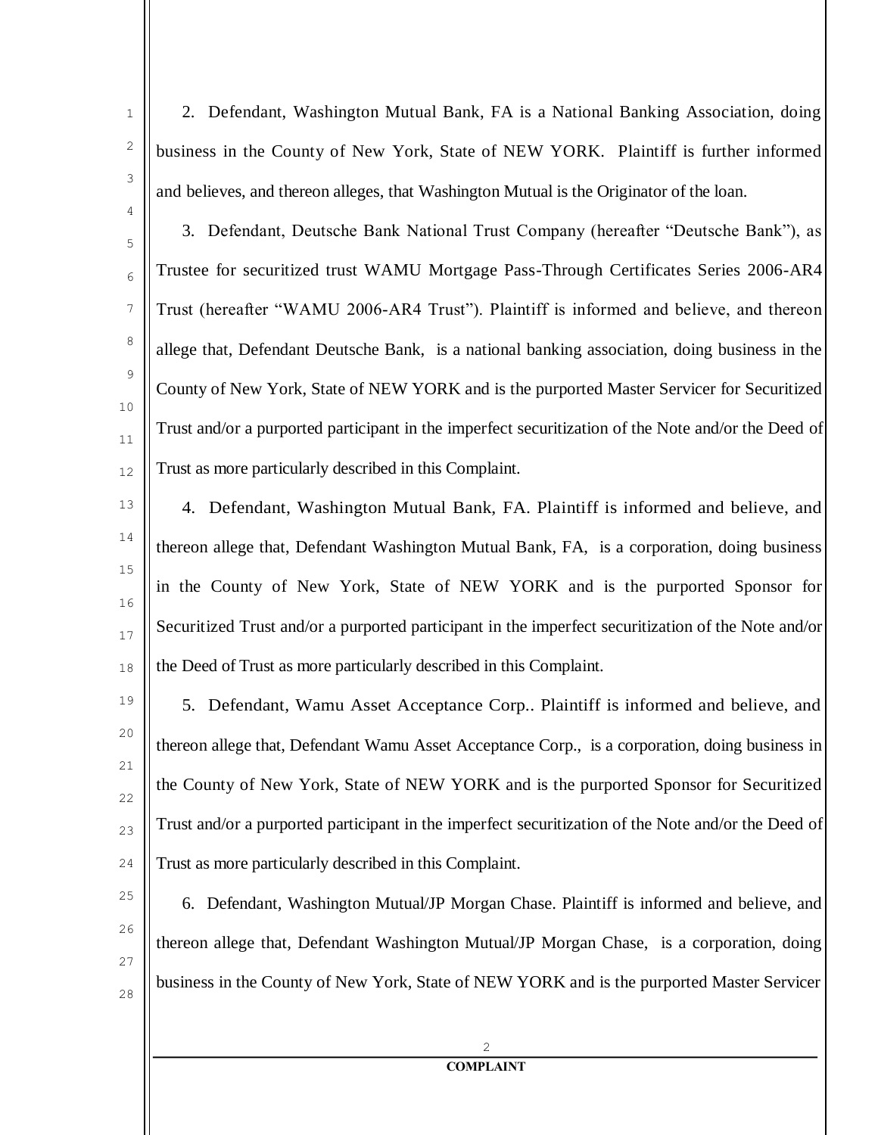4

5

6

7

8

9

 $1<sub>0</sub>$ 

11

12

1

2. Defendant, Washington Mutual Bank, FA is a National Banking Association, doing business in the County of New York, State of NEW YORK. Plaintiff is further informed and believes, and thereon alleges, that Washington Mutual is the Originator of the loan.

3. Defendant, Deutsche Bank National Trust Company (hereafter "Deutsche Bank"), as Trustee for securitized trust WAMU Mortgage Pass-Through Certificates Series 2006-AR4 Trust (hereafter "WAMU 2006-AR4 Trust"). Plaintiff is informed and believe, and thereon allege that, Defendant Deutsche Bank, is a national banking association, doing business in the County of New York, State of NEW YORK and is the purported Master Servicer for Securitized Trust and/or a purported participant in the imperfect securitization of the Note and/or the Deed of Trust as more particularly described in this Complaint.

13 14 15 16 17 18 4. Defendant, Washington Mutual Bank, FA. Plaintiff is informed and believe, and thereon allege that, Defendant Washington Mutual Bank, FA, is a corporation, doing business in the County of New York, State of NEW YORK and is the purported Sponsor for Securitized Trust and/or a purported participant in the imperfect securitization of the Note and/or the Deed of Trust as more particularly described in this Complaint.

19 20 21 22 23  $24$ 5. Defendant, Wamu Asset Acceptance Corp.. Plaintiff is informed and believe, and thereon allege that, Defendant Wamu Asset Acceptance Corp., is a corporation, doing business in the County of New York, State of NEW YORK and is the purported Sponsor for Securitized Trust and/or a purported participant in the imperfect securitization of the Note and/or the Deed of Trust as more particularly described in this Complaint.

25  $26$ 27 28 6. Defendant, Washington Mutual/JP Morgan Chase. Plaintiff is informed and believe, and thereon allege that, Defendant Washington Mutual/JP Morgan Chase, is a corporation, doing business in the County of New York, State of NEW YORK and is the purported Master Servicer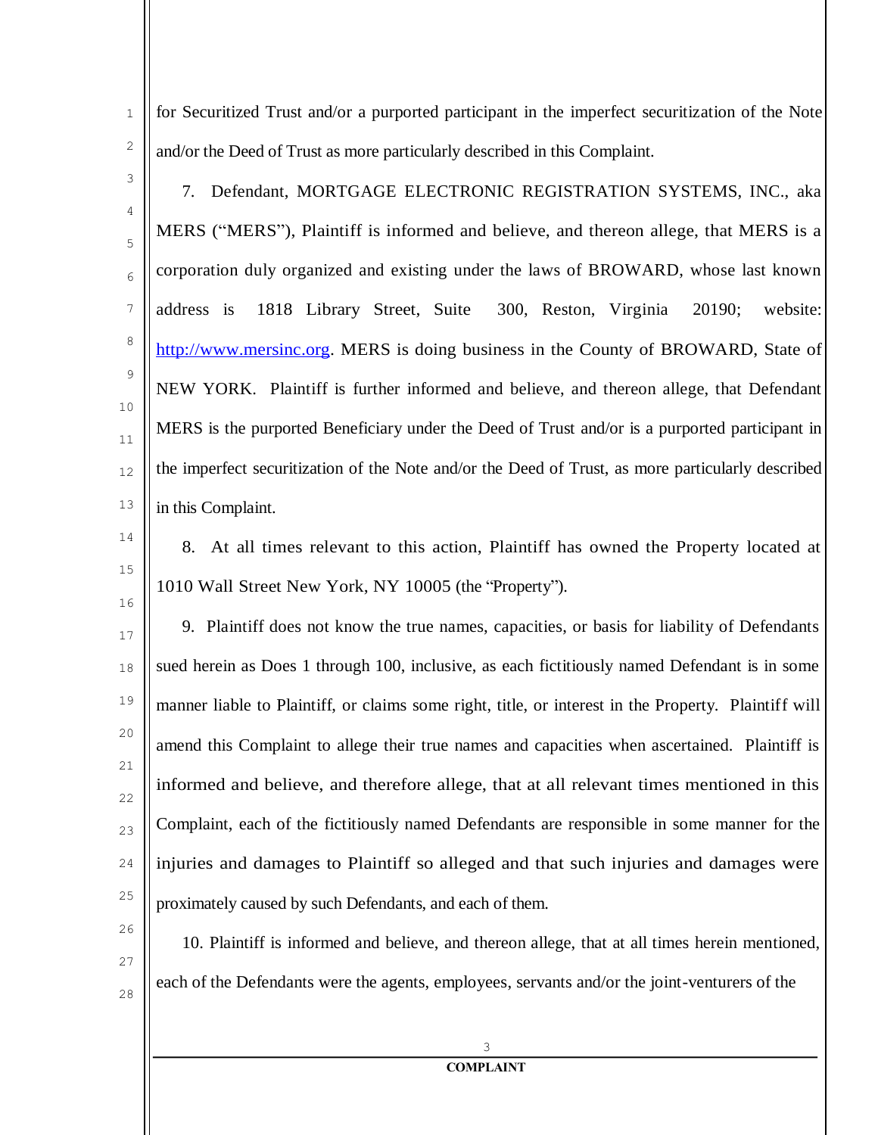for Securitized Trust and/or a purported participant in the imperfect securitization of the Note and/or the Deed of Trust as more particularly described in this Complaint.

3

4

5

6

7

8

9

 $1<sub>0</sub>$ 

11

12

13

1

2

7. Defendant, MORTGAGE ELECTRONIC REGISTRATION SYSTEMS, INC., aka MERS ("MERS"), Plaintiff is informed and believe, and thereon allege, that MERS is a corporation duly organized and existing under the laws of BROWARD, whose last known address is 1818 Library Street, Suite 300, Reston, Virginia 20190; website: [http://www.mersinc.org.](http://www.mersinc.org/) MERS is doing business in the County of BROWARD, State of NEW YORK. Plaintiff is further informed and believe, and thereon allege, that Defendant MERS is the purported Beneficiary under the Deed of Trust and/or is a purported participant in the imperfect securitization of the Note and/or the Deed of Trust, as more particularly described in this Complaint.

- 14
- 15

16

8. At all times relevant to this action, Plaintiff has owned the Property located at 1010 Wall Street New York, NY 10005 (the "Property").

17 18 19 20 21 22 23  $24$ 25 9. Plaintiff does not know the true names, capacities, or basis for liability of Defendants sued herein as Does 1 through 100, inclusive, as each fictitiously named Defendant is in some manner liable to Plaintiff, or claims some right, title, or interest in the Property. Plaintiff will amend this Complaint to allege their true names and capacities when ascertained. Plaintiff is informed and believe, and therefore allege, that at all relevant times mentioned in this Complaint, each of the fictitiously named Defendants are responsible in some manner for the injuries and damages to Plaintiff so alleged and that such injuries and damages were proximately caused by such Defendants, and each of them.

 $26$ 

27 28 10. Plaintiff is informed and believe, and thereon allege, that at all times herein mentioned, each of the Defendants were the agents, employees, servants and/or the joint-venturers of the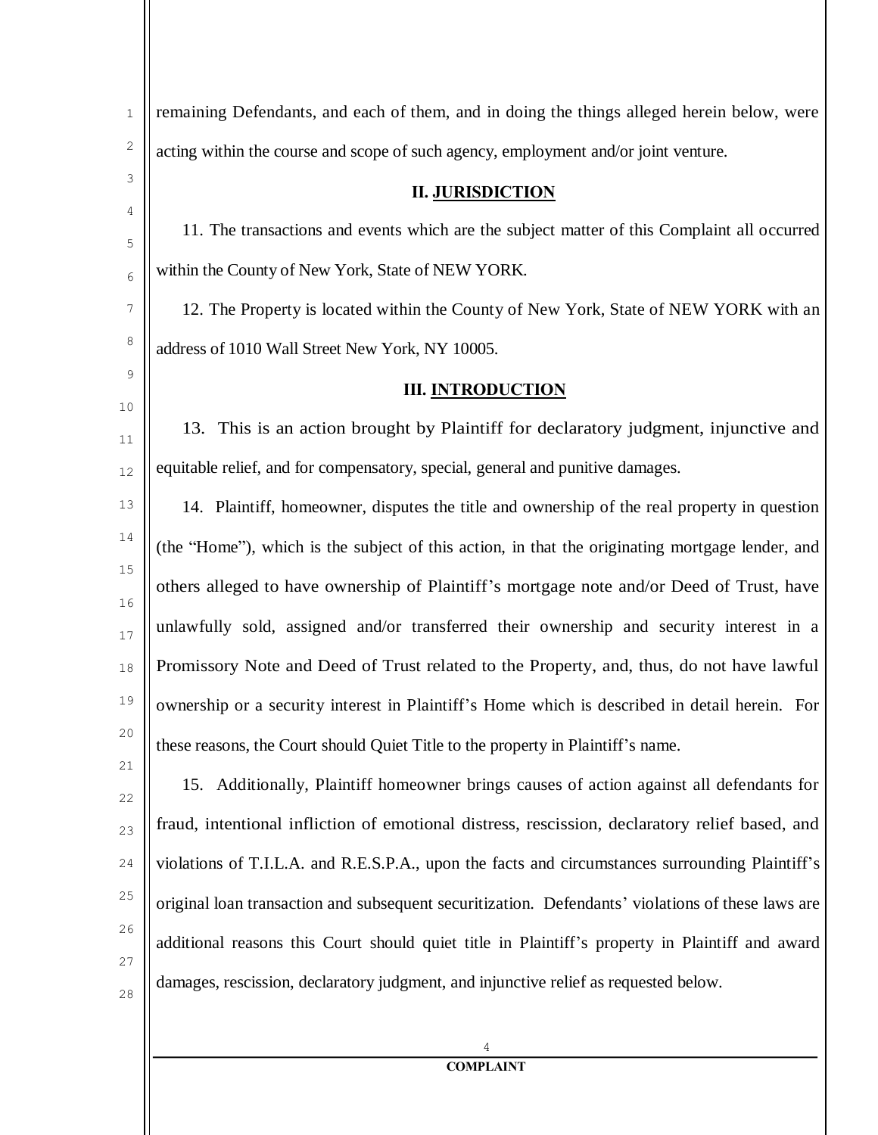| $\mathbf{1}$ | remaining Defendants, and each of them, and in doing the things alleged herein below, were        |  |
|--------------|---------------------------------------------------------------------------------------------------|--|
| 2            | acting within the course and scope of such agency, employment and/or joint venture.               |  |
| 3            | <b>II. JURISDICTION</b>                                                                           |  |
| 4<br>5       | 11. The transactions and events which are the subject matter of this Complaint all occurred       |  |
| 6            | within the County of New York, State of NEW YORK.                                                 |  |
| 7            | 12. The Property is located within the County of New York, State of NEW YORK with an              |  |
| 8            | address of 1010 Wall Street New York, NY 10005.                                                   |  |
| 9            | <b>III. INTRODUCTION</b>                                                                          |  |
| $10$<br>11   | 13. This is an action brought by Plaintiff for declaratory judgment, injunctive and               |  |
| 12           | equitable relief, and for compensatory, special, general and punitive damages.                    |  |
| 13           | 14. Plaintiff, homeowner, disputes the title and ownership of the real property in question       |  |
| 14           | (the "Home"), which is the subject of this action, in that the originating mortgage lender, and   |  |
| 15<br>16     | others alleged to have ownership of Plaintiff's mortgage note and/or Deed of Trust, have          |  |
| 17           | unlawfully sold, assigned and/or transferred their ownership and security interest in a           |  |
| $18\,$       | Promissory Note and Deed of Trust related to the Property, and, thus, do not have lawful          |  |
| 19           | ownership or a security interest in Plaintiff's Home which is described in detail herein. For     |  |
| 20           | these reasons, the Court should Quiet Title to the property in Plaintiff's name.                  |  |
| 21<br>22     | 15. Additionally, Plaintiff homeowner brings causes of action against all defendants for          |  |
| 23           | fraud, intentional infliction of emotional distress, rescission, declaratory relief based, and    |  |
| 24           | violations of T.I.L.A. and R.E.S.P.A., upon the facts and circumstances surrounding Plaintiff's   |  |
| 25           | original loan transaction and subsequent securitization. Defendants' violations of these laws are |  |
| 26           | additional reasons this Court should quiet title in Plaintiff's property in Plaintiff and award   |  |
| 27<br>28     | damages, rescission, declaratory judgment, and injunctive relief as requested below.              |  |
|              |                                                                                                   |  |
|              | 4                                                                                                 |  |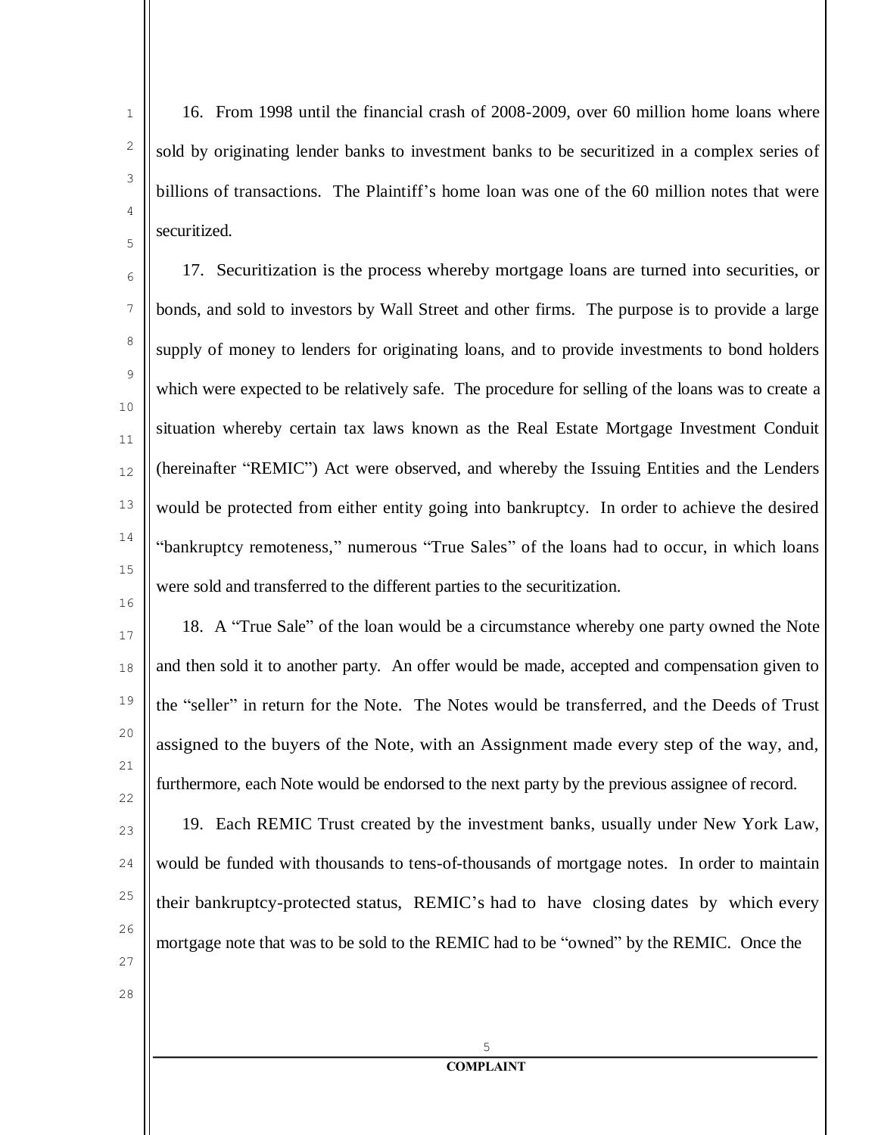16. From 1998 until the financial crash of 2008-2009, over 60 million home loans where sold by originating lender banks to investment banks to be securitized in a complex series of billions of transactions. The Plaintiff's home loan was one of the 60 million notes that were securitized.

12 17. Securitization is the process whereby mortgage loans are turned into securities, or bonds, and sold to investors by Wall Street and other firms. The purpose is to provide a large supply of money to lenders for originating loans, and to provide investments to bond holders which were expected to be relatively safe. The procedure for selling of the loans was to create a situation whereby certain tax laws known as the Real Estate Mortgage Investment Conduit (hereinafter "REMIC") Act were observed, and whereby the Issuing Entities and the Lenders would be protected from either entity going into bankruptcy. In order to achieve the desired "bankruptcy remoteness," numerous "True Sales" of the loans had to occur, in which loans were sold and transferred to the different parties to the securitization.

17 18 19 20 21 22 18. A "True Sale" of the loan would be a circumstance whereby one party owned the Note and then sold it to another party. An offer would be made, accepted and compensation given to the "seller" in return for the Note. The Notes would be transferred, and the Deeds of Trust assigned to the buyers of the Note, with an Assignment made every step of the way, and, furthermore, each Note would be endorsed to the next party by the previous assignee of record.

 $23$  $24$ 25 26 19. Each REMIC Trust created by the investment banks, usually under New York Law, would be funded with thousands to tens-of-thousands of mortgage notes. In order to maintain their bankruptcy-protected status, REMIC's had to have closing dates by which every mortgage note that was to be sold to the REMIC had to be "owned" by the REMIC. Once the

27

1

2

3

4

5

6

7

8

9

 $1<sub>0</sub>$ 

11

13

14

15

16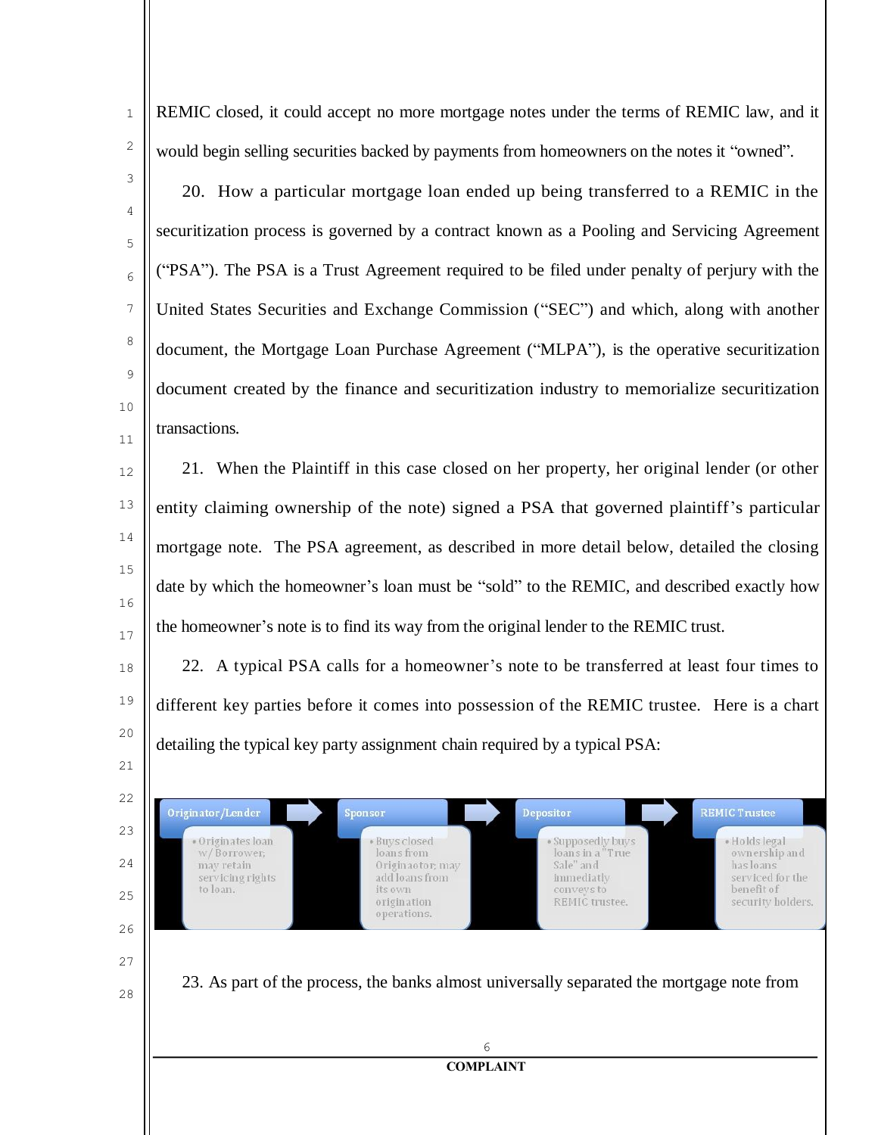4

5

6

7

8

9

10

11

12

13

14

15

16

17

18

19

20

21

22

Originator/Lender

· Originates loan

w/Borrower:

servicing rights

may retain

to loan.

23

 $24$ 

25

 $26$ 

27

28

1

REMIC closed, it could accept no more mortgage notes under the terms of REMIC law, and it would begin selling securities backed by payments from homeowners on the notes it "owned".

20. How a particular mortgage loan ended up being transferred to a REMIC in the securitization process is governed by a contract known as a Pooling and Servicing Agreement ("PSA"). The PSA is a Trust Agreement required to be filed under penalty of perjury with the United States Securities and Exchange Commission ("SEC") and which, along with another document, the Mortgage Loan Purchase Agreement ("MLPA"), is the operative securitization document created by the finance and securitization industry to memorialize securitization transactions.

21. When the Plaintiff in this case closed on her property, her original lender (or other entity claiming ownership of the note) signed a PSA that governed plaintiff's particular mortgage note. The PSA agreement, as described in more detail below, detailed the closing date by which the homeowner's loan must be "sold" to the REMIC, and described exactly how the homeowner's note is to find its way from the original lender to the REMIC trust.

22. A typical PSA calls for a homeowner's note to be transferred at least four times to different key parties before it comes into possession of the REMIC trustee. Here is a chart detailing the typical key party assignment chain required by a typical PSA:

Sponsor

**Buys closed** 

loans from

origination

operations.

its own

Originaotor; may

add loans from

Depositor

Supposedly buys

loans in a "True

REMIC trustee.

Sale" and

immediatly

conveys to

**REMIC Trustee** 

· Holds legal

has loans serviced for the

benefit of

ownership and

security holders.

23. As part of the process, the banks almost universally separated the mortgage note from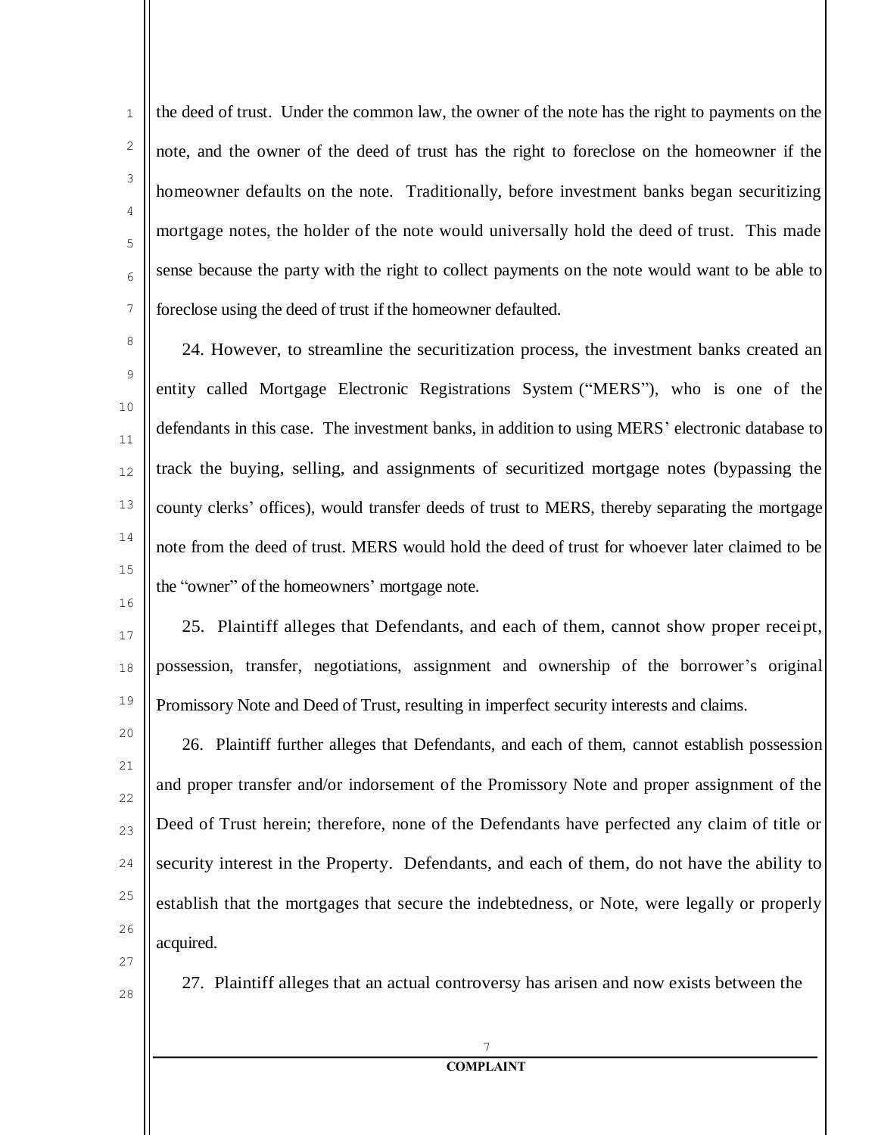the deed of trust. Under the common law, the owner of the note has the right to payments on the note, and the owner of the deed of trust has the right to foreclose on the homeowner if the homeowner defaults on the note. Traditionally, before investment banks began securitizing mortgage notes, the holder of the note would universally hold the deed of trust. This made sense because the party with the right to collect payments on the note would want to be able to foreclose using the deed of trust if the homeowner defaulted.

24. However, to streamline the securitization process, the investment banks created an entity called Mortgage Electronic Registrations System ("MERS"), who is one of the defendants in this case. The investment banks, in addition to using MERS' electronic database to track the buying, selling, and assignments of securitized mortgage notes (bypassing the county clerks' offices), would transfer deeds of trust to MERS, thereby separating the mortgage note from the deed of trust. MERS would hold the deed of trust for whoever later claimed to be the "owner" of the homeowners' mortgage note.

25. Plaintiff alleges that Defendants, and each of them, cannot show proper receipt, possession, transfer, negotiations, assignment and ownership of the borrower's original Promissory Note and Deed of Trust, resulting in imperfect security interests and claims.

20 23  $24$ 25 26 26. Plaintiff further alleges that Defendants, and each of them, cannot establish possession and proper transfer and/or indorsement of the Promissory Note and proper assignment of the Deed of Trust herein; therefore, none of the Defendants have perfected any claim of title or security interest in the Property. Defendants, and each of them, do not have the ability to establish that the mortgages that secure the indebtedness, or Note, were legally or properly acquired.

27

1

2

3

4

5

6

7

8

9

10

11

12

13

14

15

16

17

18

19

21

22

28

27. Plaintiff alleges that an actual controversy has arisen and now exists between the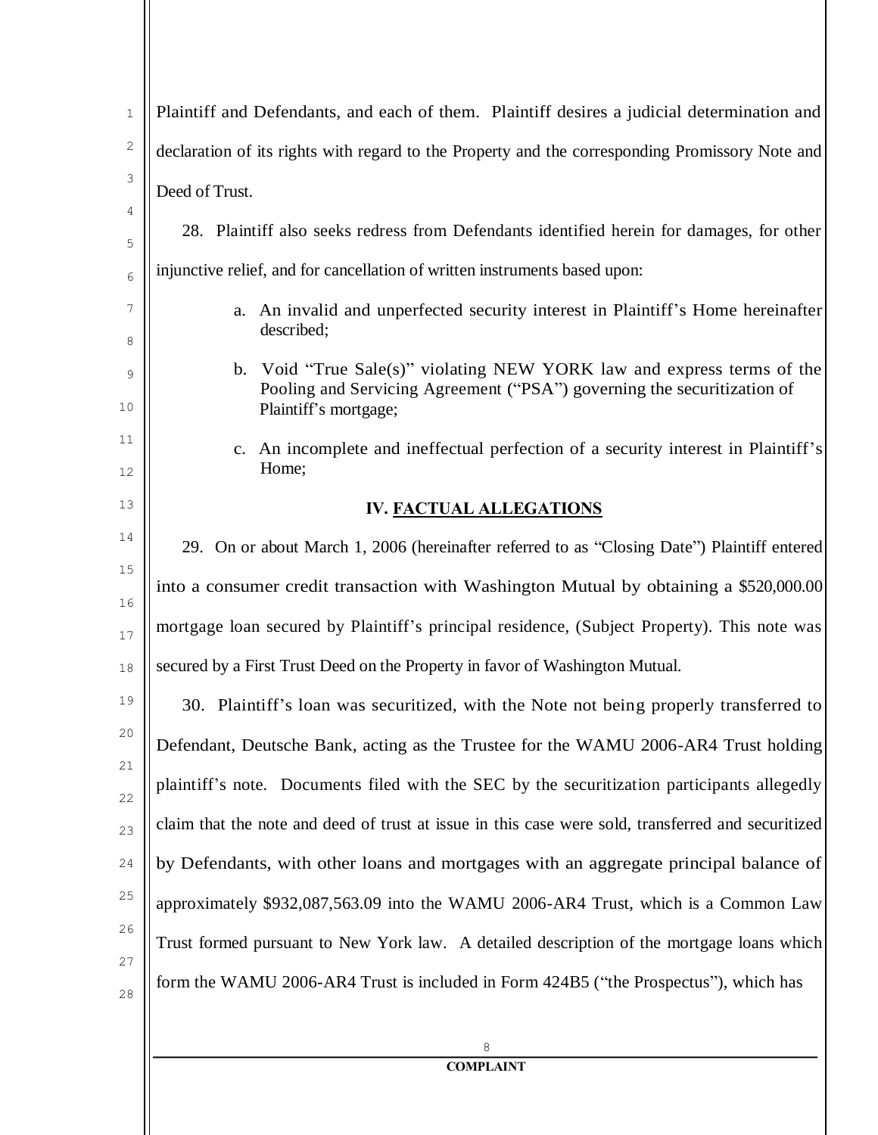| 1        | Plaintiff and Defendants, and each of them. Plaintiff desires a judicial determination and                                                                                 |
|----------|----------------------------------------------------------------------------------------------------------------------------------------------------------------------------|
| 2        | declaration of its rights with regard to the Property and the corresponding Promissory Note and                                                                            |
| 3        | Deed of Trust.                                                                                                                                                             |
| 4<br>5   | 28. Plaintiff also seeks redress from Defendants identified herein for damages, for other                                                                                  |
| 6        | injunctive relief, and for cancellation of written instruments based upon:                                                                                                 |
| 7<br>8   | a. An invalid and unperfected security interest in Plaintiff's Home hereinafter<br>described;                                                                              |
| 9<br>10  | b. Void "True Sale(s)" violating NEW YORK law and express terms of the<br>Pooling and Servicing Agreement ("PSA") governing the securitization of<br>Plaintiff's mortgage; |
| 11<br>12 | c. An incomplete and ineffectual perfection of a security interest in Plaintiff's<br>Home;                                                                                 |
| 13       | <b>IV. FACTUAL ALLEGATIONS</b>                                                                                                                                             |
| 14       | 29. On or about March 1, 2006 (hereinafter referred to as "Closing Date") Plaintiff entered                                                                                |
| 15<br>16 | into a consumer credit transaction with Washington Mutual by obtaining a \$520,000.00                                                                                      |
| 17       | mortgage loan secured by Plaintiff's principal residence, (Subject Property). This note was                                                                                |
| 18       | secured by a First Trust Deed on the Property in favor of Washington Mutual.                                                                                               |
| 19       | 30. Plaintiff's loan was securitized, with the Note not being properly transferred to                                                                                      |
| 20       | Defendant, Deutsche Bank, acting as the Trustee for the WAMU 2006-AR4 Trust holding                                                                                        |
| 21<br>22 | plaintiff's note. Documents filed with the SEC by the securitization participants allegedly                                                                                |
| 23       | claim that the note and deed of trust at issue in this case were sold, transferred and securitized                                                                         |
| 24       | by Defendants, with other loans and mortgages with an aggregate principal balance of                                                                                       |
| 25       | approximately \$932,087,563.09 into the WAMU 2006-AR4 Trust, which is a Common Law                                                                                         |
| 26       | Trust formed pursuant to New York law. A detailed description of the mortgage loans which                                                                                  |
| 27<br>28 | form the WAMU 2006-AR4 Trust is included in Form 424B5 ("the Prospectus"), which has                                                                                       |
|          | 8                                                                                                                                                                          |
|          | <b>COMPLAINT</b>                                                                                                                                                           |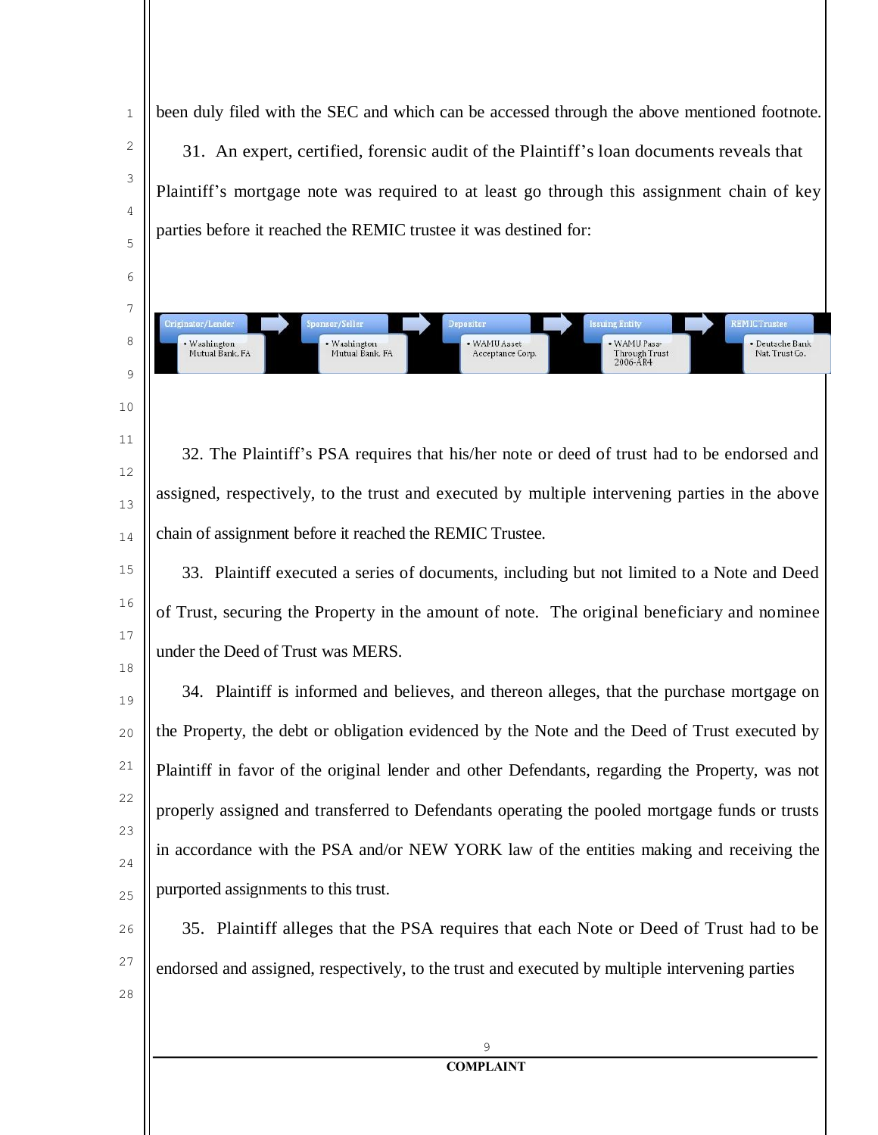been duly filed with the SEC and which can be accessed through the above mentioned footnote. 31. An expert, certified, forensic audit of the Plaintiff's loan documents reveals that Plaintiff's mortgage note was required to at least go through this assignment chain of key parties before it reached the REMIC trustee it was destined for:

suine Entity

· WAMU Pass-

Through Trust<br>2006-AR4

**EMICTrustee** 

Deutsche Bank

Nat. Trust Co.

1

2

3

4

5

6

7

deinator/Lende

• Washington<br>Mutual Bank, FA

insor/Seller

• Washington<br>Mutual Bank, FA

8

9

10

11

12

13

14

32. The Plaintiff's PSA requires that his/her note or deed of trust had to be endorsed and assigned, respectively, to the trust and executed by multiple intervening parties in the above chain of assignment before it reached the REMIC Trustee.

• WAMU Asset<br>Acceptance Corp.

15 16 17 18 33. Plaintiff executed a series of documents, including but not limited to a Note and Deed of Trust, securing the Property in the amount of note. The original beneficiary and nominee under the Deed of Trust was MERS.

19 20 21 22 23  $24$ 25 34. Plaintiff is informed and believes, and thereon alleges, that the purchase mortgage on the Property, the debt or obligation evidenced by the Note and the Deed of Trust executed by Plaintiff in favor of the original lender and other Defendants, regarding the Property, was not properly assigned and transferred to Defendants operating the pooled mortgage funds or trusts in accordance with the PSA and/or NEW YORK law of the entities making and receiving the purported assignments to this trust.

 $26$ 27 28 35. Plaintiff alleges that the PSA requires that each Note or Deed of Trust had to be endorsed and assigned, respectively, to the trust and executed by multiple intervening parties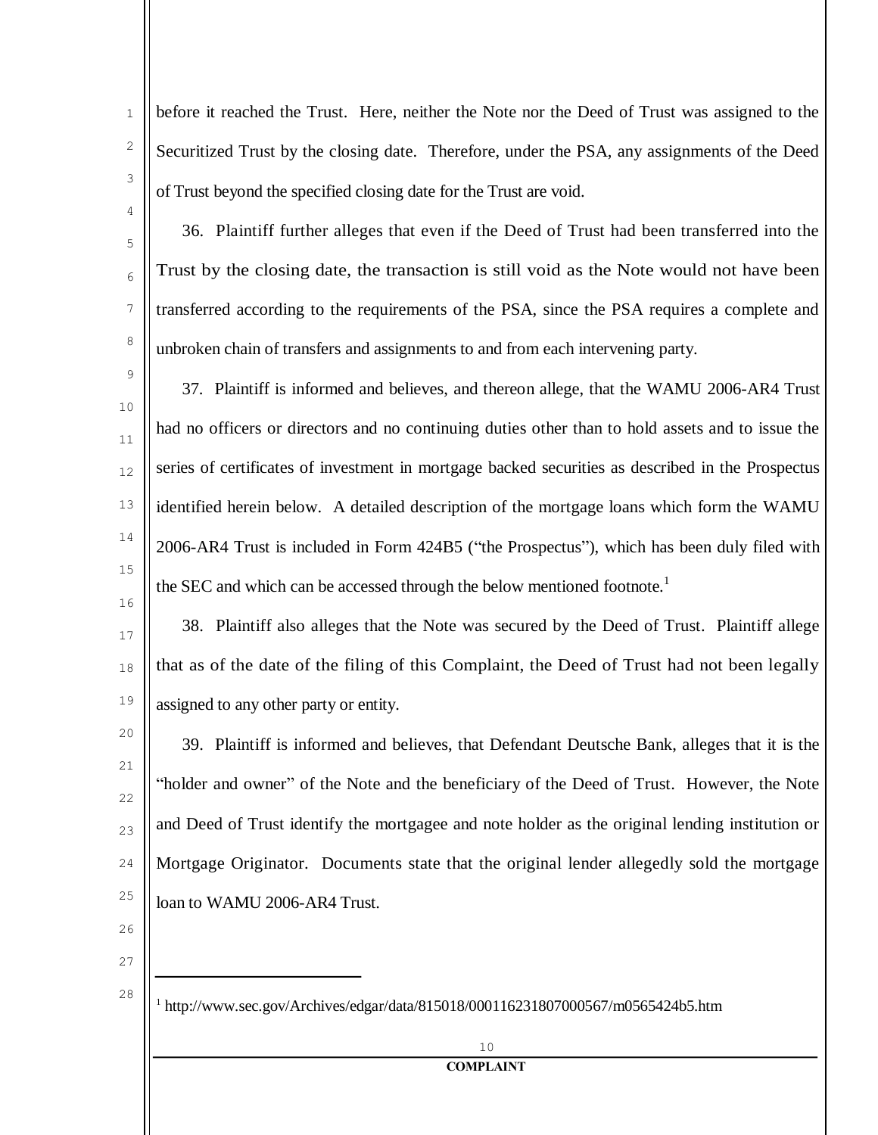before it reached the Trust. Here, neither the Note nor the Deed of Trust was assigned to the Securitized Trust by the closing date. Therefore, under the PSA, any assignments of the Deed of Trust beyond the specified closing date for the Trust are void.

36. Plaintiff further alleges that even if the Deed of Trust had been transferred into the Trust by the closing date, the transaction is still void as the Note would not have been transferred according to the requirements of the PSA, since the PSA requires a complete and unbroken chain of transfers and assignments to and from each intervening party.

37. Plaintiff is informed and believes, and thereon allege, that the WAMU 2006-AR4 Trust had no officers or directors and no continuing duties other than to hold assets and to issue the series of certificates of investment in mortgage backed securities as described in the Prospectus identified herein below. A detailed description of the mortgage loans which form the WAMU 2006-AR4 Trust is included in Form 424B5 ("the Prospectus"), which has been duly filed with the SEC and which can be accessed through the below mentioned footnote.<sup>1</sup>

17 18 19 38. Plaintiff also alleges that the Note was secured by the Deed of Trust. Plaintiff allege that as of the date of the filing of this Complaint, the Deed of Trust had not been legally assigned to any other party or entity.

20 21 22 23  $24$ 25 39. Plaintiff is informed and believes, that Defendant Deutsche Bank, alleges that it is the "holder and owner" of the Note and the beneficiary of the Deed of Trust. However, the Note and Deed of Trust identify the mortgagee and note holder as the original lending institution or Mortgage Originator. Documents state that the original lender allegedly sold the mortgage loan to WAMU 2006-AR4 Trust.

 $26$ 

1

2

3

4

5

6

7

8

9

10

11

12

13

14

15

16

27

28

<sup>1</sup> [http://www.sec.gov/Archives/edgar/data/815018/000116231807000567/m0565424b5.htm](http://www.sec.gov/archives/edgar/data/815018/000116231807000567/m0565424b5.htm)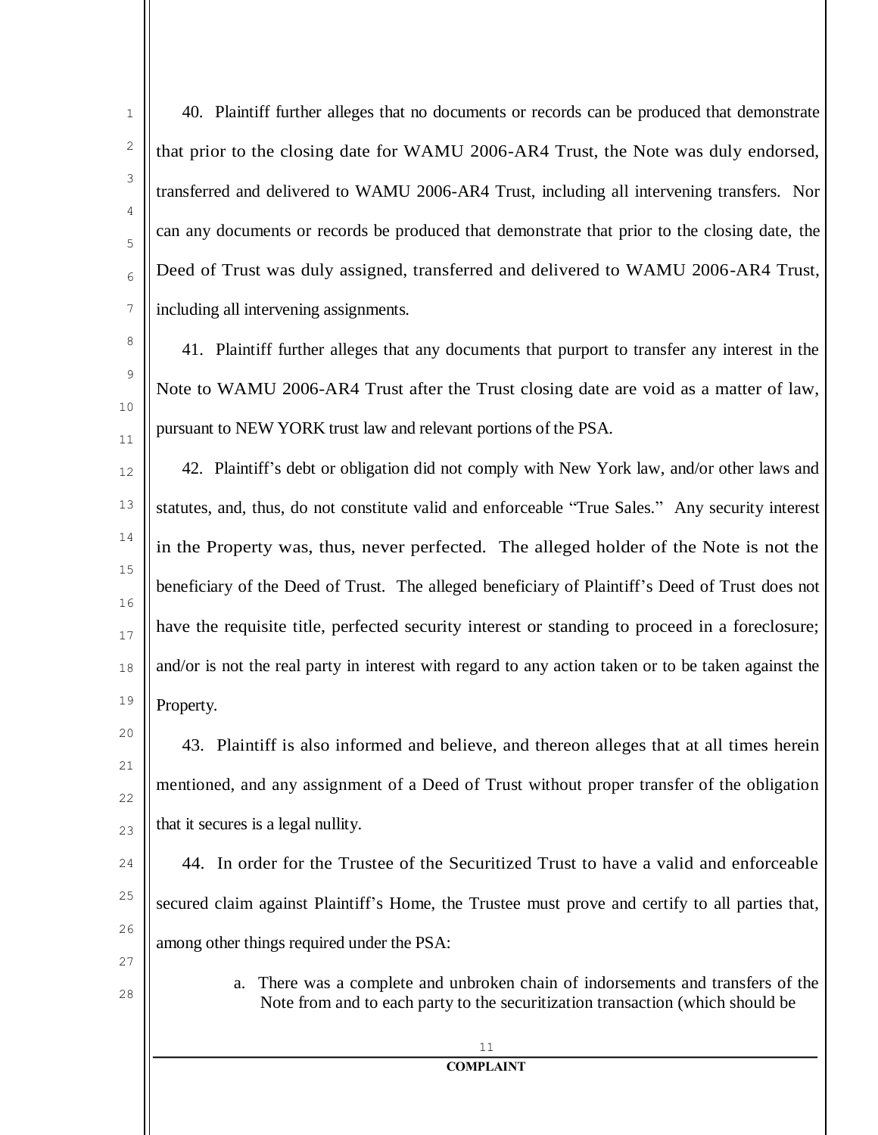40. Plaintiff further alleges that no documents or records can be produced that demonstrate that prior to the closing date for WAMU 2006-AR4 Trust, the Note was duly endorsed, transferred and delivered to WAMU 2006-AR4 Trust, including all intervening transfers. Nor can any documents or records be produced that demonstrate that prior to the closing date, the Deed of Trust was duly assigned, transferred and delivered to WAMU 2006-AR4 Trust, including all intervening assignments.

41. Plaintiff further alleges that any documents that purport to transfer any interest in the Note to WAMU 2006-AR4 Trust after the Trust closing date are void as a matter of law, pursuant to NEW YORK trust law and relevant portions of the PSA.

12 13 14 15 16 17 18 19 42. Plaintiff's debt or obligation did not comply with New York law, and/or other laws and statutes, and, thus, do not constitute valid and enforceable "True Sales." Any security interest in the Property was, thus, never perfected. The alleged holder of the Note is not the beneficiary of the Deed of Trust. The alleged beneficiary of Plaintiff's Deed of Trust does not have the requisite title, perfected security interest or standing to proceed in a foreclosure; and/or is not the real party in interest with regard to any action taken or to be taken against the Property.

43. Plaintiff is also informed and believe, and thereon alleges that at all times herein mentioned, and any assignment of a Deed of Trust without proper transfer of the obligation that it secures is a legal nullity.

 $24$ 25 26 44. In order for the Trustee of the Securitized Trust to have a valid and enforceable secured claim against Plaintiff's Home, the Trustee must prove and certify to all parties that, among other things required under the PSA:

27

20

21

22

23

1

2

3

4

5

6

7

8

9

10

11

28

a. There was a complete and unbroken chain of indorsements and transfers of the Note from and to each party to the securitization transaction (which should be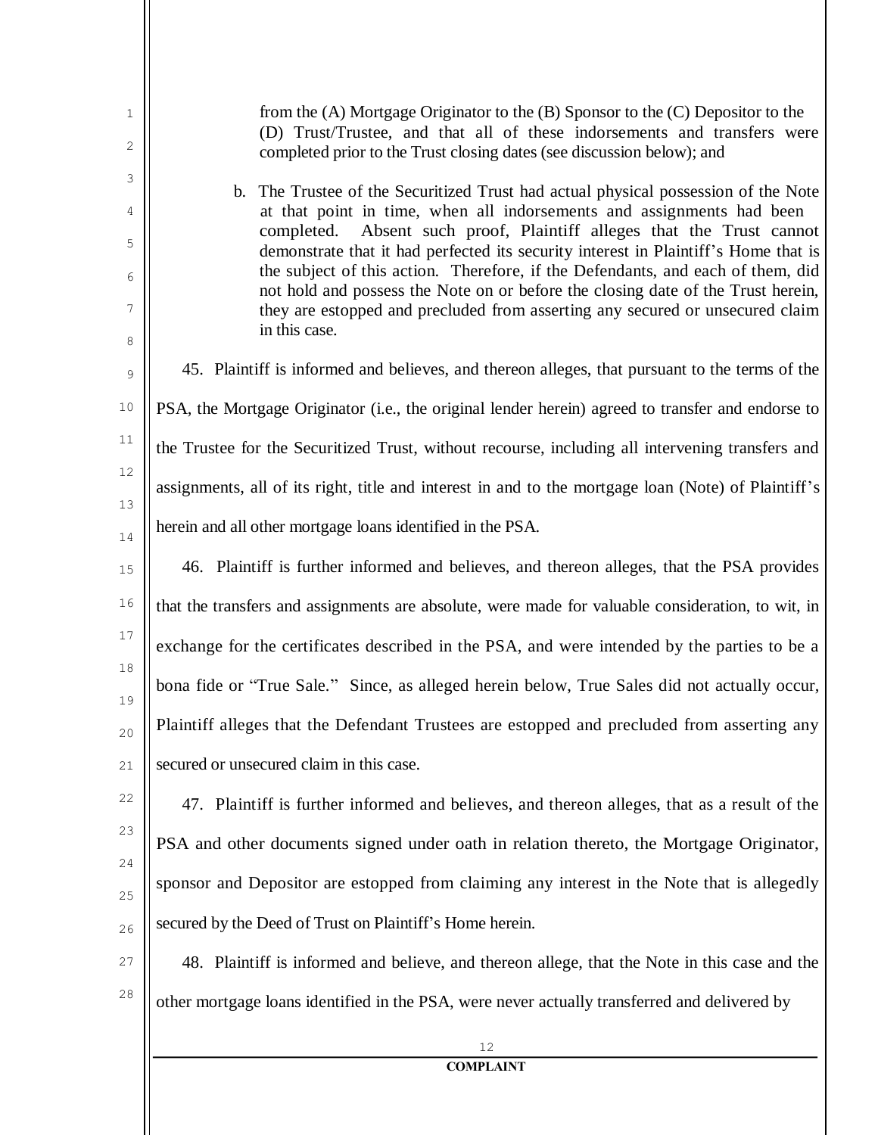| 1<br>2       | from the (A) Mortgage Originator to the (B) Sponsor to the (C) Depositor to the<br>(D) Trust/Trustee, and that all of these indorsements and transfers were<br>completed prior to the Trust closing dates (see discussion below); and                                                                                                       |
|--------------|---------------------------------------------------------------------------------------------------------------------------------------------------------------------------------------------------------------------------------------------------------------------------------------------------------------------------------------------|
| 3<br>4       | b. The Trustee of the Securitized Trust had actual physical possession of the Note<br>at that point in time, when all indorsements and assignments had been<br>Absent such proof, Plaintiff alleges that the Trust cannot<br>completed.                                                                                                     |
| 5<br>6<br>7  | demonstrate that it had perfected its security interest in Plaintiff's Home that is<br>the subject of this action. Therefore, if the Defendants, and each of them, did<br>not hold and possess the Note on or before the closing date of the Trust herein,<br>they are estopped and precluded from asserting any secured or unsecured claim |
| 8            | in this case.<br>45. Plaintiff is informed and believes, and thereon alleges, that pursuant to the terms of the                                                                                                                                                                                                                             |
| 9<br>$10$    | PSA, the Mortgage Originator (i.e., the original lender herein) agreed to transfer and endorse to                                                                                                                                                                                                                                           |
| $11\,$       |                                                                                                                                                                                                                                                                                                                                             |
| 12           | the Trustee for the Securitized Trust, without recourse, including all intervening transfers and                                                                                                                                                                                                                                            |
| 13           | assignments, all of its right, title and interest in and to the mortgage loan (Note) of Plaintiff's                                                                                                                                                                                                                                         |
| 14           | herein and all other mortgage loans identified in the PSA.                                                                                                                                                                                                                                                                                  |
| 15           | 46. Plaintiff is further informed and believes, and thereon alleges, that the PSA provides                                                                                                                                                                                                                                                  |
| 16           | that the transfers and assignments are absolute, were made for valuable consideration, to wit, in                                                                                                                                                                                                                                           |
| 17           | exchange for the certificates described in the PSA, and were intended by the parties to be a                                                                                                                                                                                                                                                |
| $18\,$<br>19 | bona fide or "True Sale." Since, as alleged herein below, True Sales did not actually occur,                                                                                                                                                                                                                                                |
| 20           | Plaintiff alleges that the Defendant Trustees are estopped and precluded from asserting any                                                                                                                                                                                                                                                 |
| 21           | secured or unsecured claim in this case.                                                                                                                                                                                                                                                                                                    |
| 22           | 47. Plaintiff is further informed and believes, and thereon alleges, that as a result of the                                                                                                                                                                                                                                                |
| 23           | PSA and other documents signed under oath in relation thereto, the Mortgage Originator,                                                                                                                                                                                                                                                     |
| 24           | sponsor and Depositor are estopped from claiming any interest in the Note that is allegedly                                                                                                                                                                                                                                                 |
| 25<br>26     | secured by the Deed of Trust on Plaintiff's Home herein.                                                                                                                                                                                                                                                                                    |
| 27           | 48. Plaintiff is informed and believe, and thereon allege, that the Note in this case and the                                                                                                                                                                                                                                               |
| 28           |                                                                                                                                                                                                                                                                                                                                             |
|              | other mortgage loans identified in the PSA, were never actually transferred and delivered by                                                                                                                                                                                                                                                |
|              | 12<br><b>COMPLAINT</b>                                                                                                                                                                                                                                                                                                                      |
|              |                                                                                                                                                                                                                                                                                                                                             |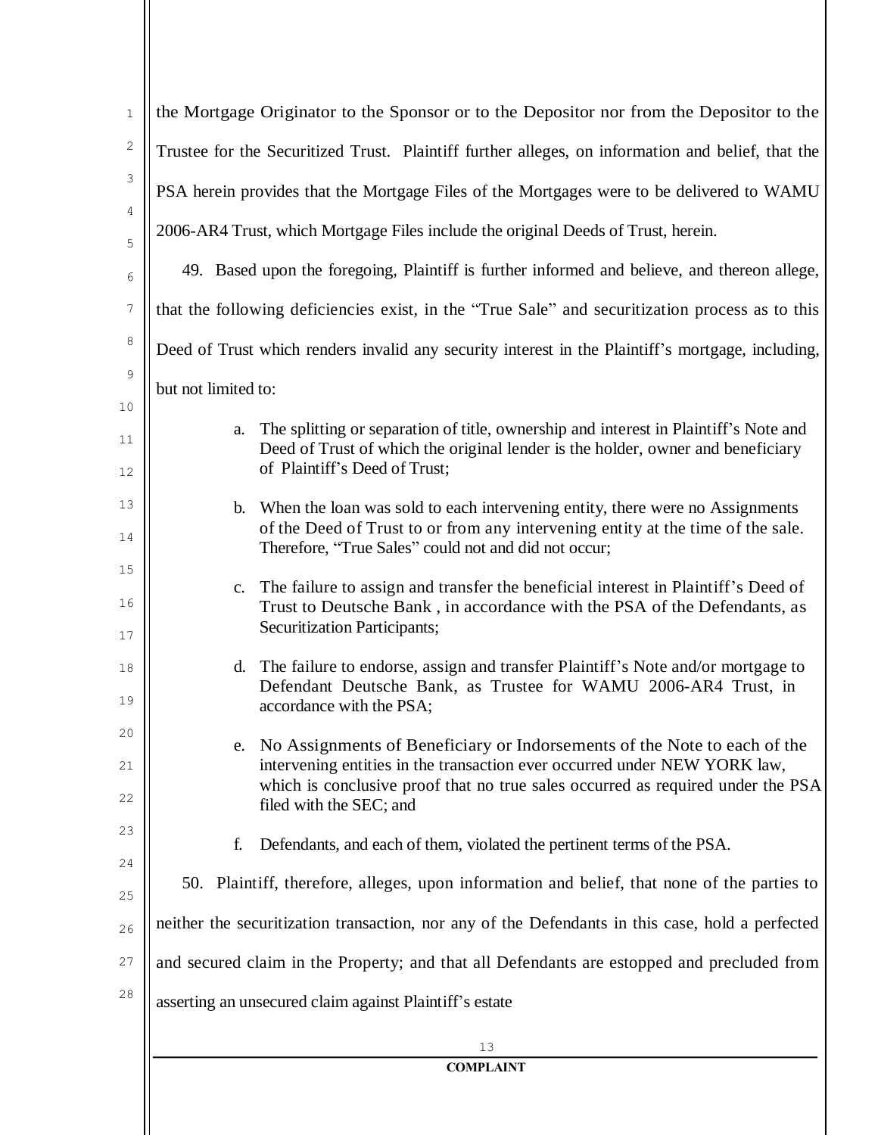| $1\,$          | the Mortgage Originator to the Sponsor or to the Depositor nor from the Depositor to the                                                                                                                                                       |
|----------------|------------------------------------------------------------------------------------------------------------------------------------------------------------------------------------------------------------------------------------------------|
| $\mathbf{2}$   | Trustee for the Securitized Trust. Plaintiff further alleges, on information and belief, that the                                                                                                                                              |
| 3              | PSA herein provides that the Mortgage Files of the Mortgages were to be delivered to WAMU                                                                                                                                                      |
| 4<br>5         | 2006-AR4 Trust, which Mortgage Files include the original Deeds of Trust, herein.                                                                                                                                                              |
| 6              | 49. Based upon the foregoing, Plaintiff is further informed and believe, and thereon allege,                                                                                                                                                   |
| $\overline{7}$ | that the following deficiencies exist, in the "True Sale" and securitization process as to this                                                                                                                                                |
| 8              | Deed of Trust which renders invalid any security interest in the Plaintiff's mortgage, including,                                                                                                                                              |
| 9              | but not limited to:                                                                                                                                                                                                                            |
| 10             |                                                                                                                                                                                                                                                |
| 11<br>12       | The splitting or separation of title, ownership and interest in Plaintiff's Note and<br>a.<br>Deed of Trust of which the original lender is the holder, owner and beneficiary<br>of Plaintiff's Deed of Trust;                                 |
| 13             | When the loan was sold to each intervening entity, there were no Assignments<br>$\mathbf{b}$ .                                                                                                                                                 |
| 14             | of the Deed of Trust to or from any intervening entity at the time of the sale.<br>Therefore, "True Sales" could not and did not occur;                                                                                                        |
| 15             | c. The failure to assign and transfer the beneficial interest in Plaintiff's Deed of                                                                                                                                                           |
| 16<br>17       | Trust to Deutsche Bank, in accordance with the PSA of the Defendants, as<br><b>Securitization Participants;</b>                                                                                                                                |
| 18<br>19       | d. The failure to endorse, assign and transfer Plaintiff's Note and/or mortgage to<br>Defendant Deutsche Bank, as Trustee for WAMU 2006-AR4 Trust, in<br>accordance with the PSA;                                                              |
| 20<br>21       | No Assignments of Beneficiary or Indorsements of the Note to each of the<br>e.<br>intervening entities in the transaction ever occurred under NEW YORK law,<br>which is conclusive proof that no true sales occurred as required under the PSA |
| 22             | filed with the SEC; and                                                                                                                                                                                                                        |
| 23<br>24       | Defendants, and each of them, violated the pertinent terms of the PSA.<br>f.                                                                                                                                                                   |
| 25             | 50. Plaintiff, therefore, alleges, upon information and belief, that none of the parties to                                                                                                                                                    |
| 26             | neither the securitization transaction, nor any of the Defendants in this case, hold a perfected                                                                                                                                               |
| 27             | and secured claim in the Property; and that all Defendants are estopped and precluded from                                                                                                                                                     |
| 28             | asserting an unsecured claim against Plaintiff's estate                                                                                                                                                                                        |
|                | 13                                                                                                                                                                                                                                             |
|                | <b>COMPLAINT</b>                                                                                                                                                                                                                               |
|                |                                                                                                                                                                                                                                                |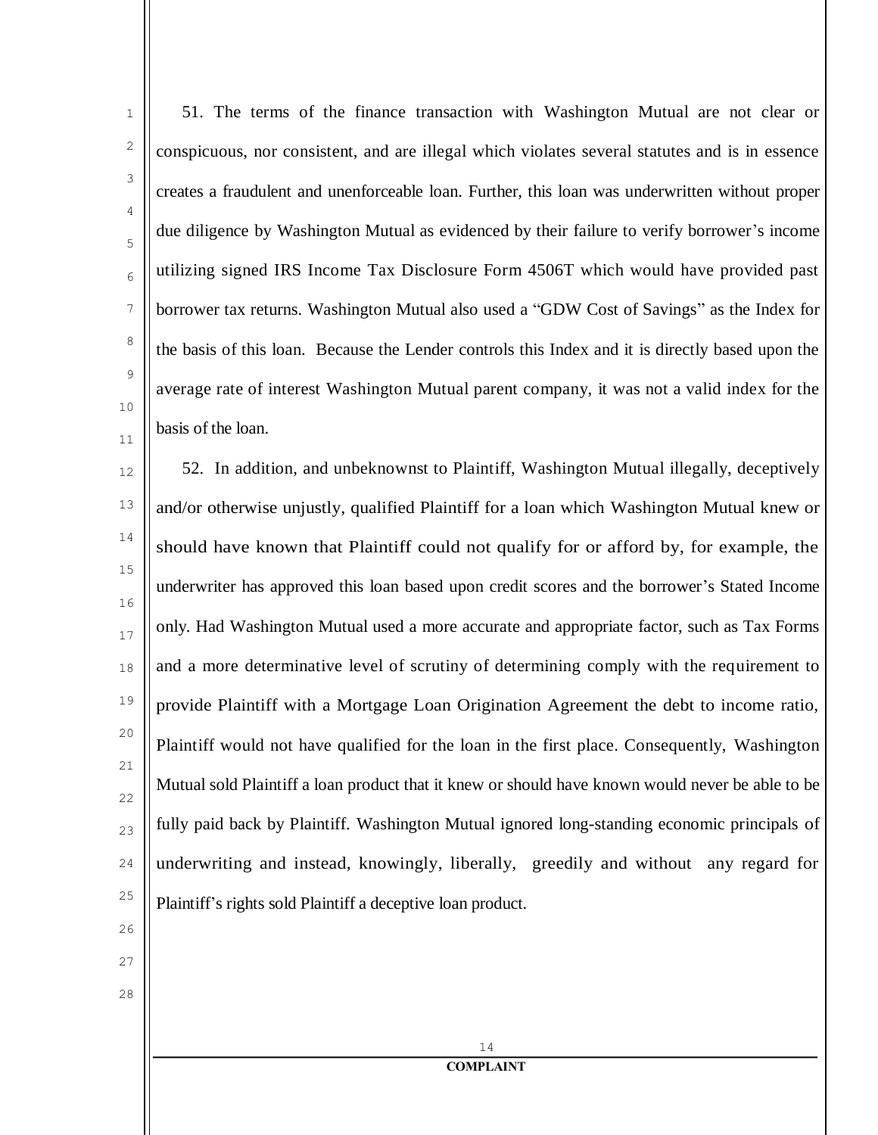11

1

2

51. The terms of the finance transaction with Washington Mutual are not clear or conspicuous, nor consistent, and are illegal which violates several statutes and is in essence creates a fraudulent and unenforceable loan. Further, this loan was underwritten without proper due diligence by Washington Mutual as evidenced by their failure to verify borrower's income utilizing signed IRS Income Tax Disclosure Form 4506T which would have provided past borrower tax returns. Washington Mutual also used a "GDW Cost of Savings" as the Index for the basis of this loan. Because the Lender controls this Index and it is directly based upon the average rate of interest Washington Mutual parent company, it was not a valid index for the basis of the loan.

12 13 14 15 16 17 18 19 20 21 22 23  $24$ 25 52. In addition, and unbeknownst to Plaintiff, Washington Mutual illegally, deceptively and/or otherwise unjustly, qualified Plaintiff for a loan which Washington Mutual knew or should have known that Plaintiff could not qualify for or afford by, for example, the underwriter has approved this loan based upon credit scores and the borrower's Stated Income only. Had Washington Mutual used a more accurate and appropriate factor, such as Tax Forms and a more determinative level of scrutiny of determining comply with the requirement to provide Plaintiff with a Mortgage Loan Origination Agreement the debt to income ratio, Plaintiff would not have qualified for the loan in the first place. Consequently, Washington Mutual sold Plaintiff a loan product that it knew or should have known would never be able to be fully paid back by Plaintiff. Washington Mutual ignored long-standing economic principals of underwriting and instead, knowingly, liberally, greedily and without any regard for Plaintiff's rights sold Plaintiff a deceptive loan product.

- $26$
- 27
- 28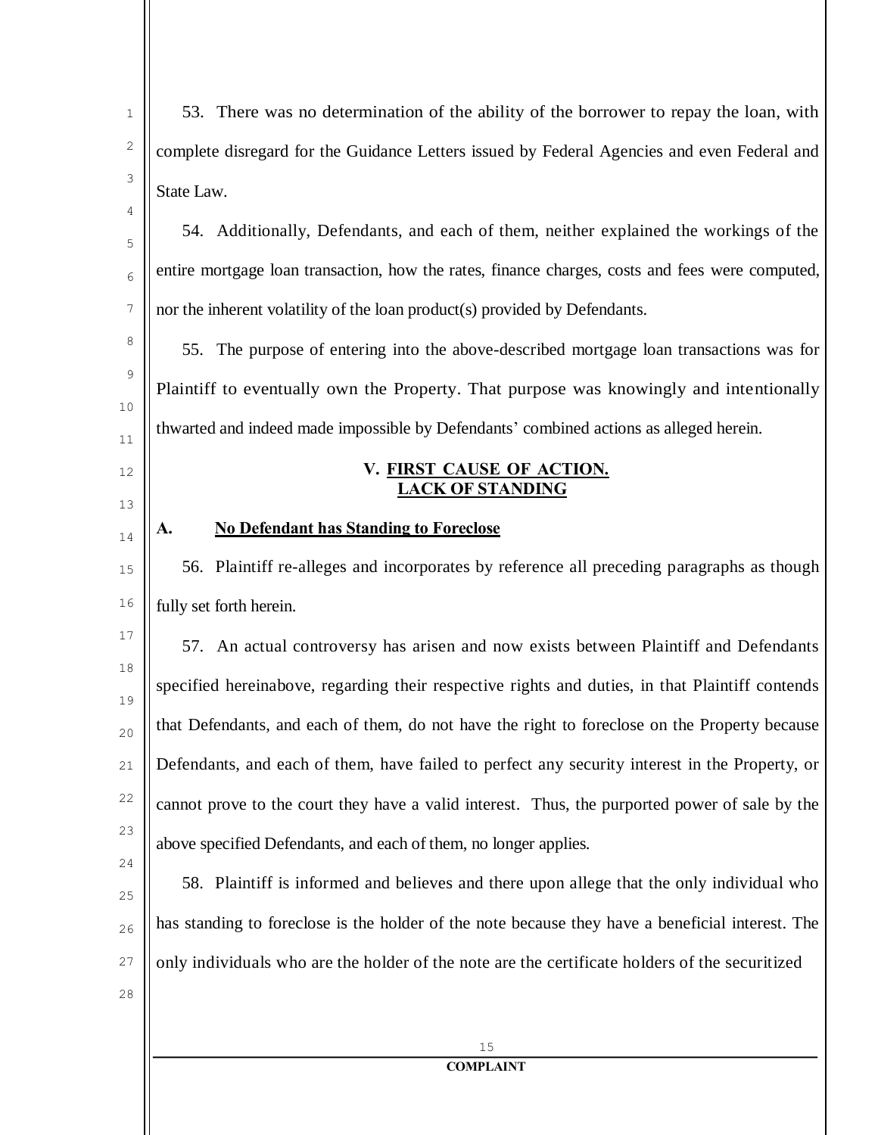| $\mathbf{1}$ | 53. There was no determination of the ability of the borrower to repay the loan, with            |
|--------------|--------------------------------------------------------------------------------------------------|
| 2            | complete disregard for the Guidance Letters issued by Federal Agencies and even Federal and      |
| 3            | State Law.                                                                                       |
| 4            | 54. Additionally, Defendants, and each of them, neither explained the workings of the            |
| 5<br>6       | entire mortgage loan transaction, how the rates, finance charges, costs and fees were computed,  |
| 7            | nor the inherent volatility of the loan product(s) provided by Defendants.                       |
| 8            | 55. The purpose of entering into the above-described mortgage loan transactions was for          |
| 9            | Plaintiff to eventually own the Property. That purpose was knowingly and intentionally           |
| 10           | thwarted and indeed made impossible by Defendants' combined actions as alleged herein.           |
| 11<br>12     | V. FIRST CAUSE OF ACTION.                                                                        |
| 13           | <u>LACK OF STANDING</u>                                                                          |
| 14           | <b>No Defendant has Standing to Foreclose</b><br>A.                                              |
| 15           | 56. Plaintiff re-alleges and incorporates by reference all preceding paragraphs as though        |
| 16           | fully set forth herein.                                                                          |
| $17\,$       | 57. An actual controversy has arisen and now exists between Plaintiff and Defendants             |
| 18<br>19     | specified hereinabove, regarding their respective rights and duties, in that Plaintiff contends  |
| 20           | that Defendants, and each of them, do not have the right to foreclose on the Property because    |
| 21           | Defendants, and each of them, have failed to perfect any security interest in the Property, or   |
| 22           | cannot prove to the court they have a valid interest. Thus, the purported power of sale by the   |
| 23           | above specified Defendants, and each of them, no longer applies.                                 |
| 24<br>25     | 58. Plaintiff is informed and believes and there upon allege that the only individual who        |
| $26$         | has standing to foreclose is the holder of the note because they have a beneficial interest. The |
| 27           | only individuals who are the holder of the note are the certificate holders of the securitized   |
| 28           |                                                                                                  |
|              | 15                                                                                               |
|              | <b>COMPLAINT</b>                                                                                 |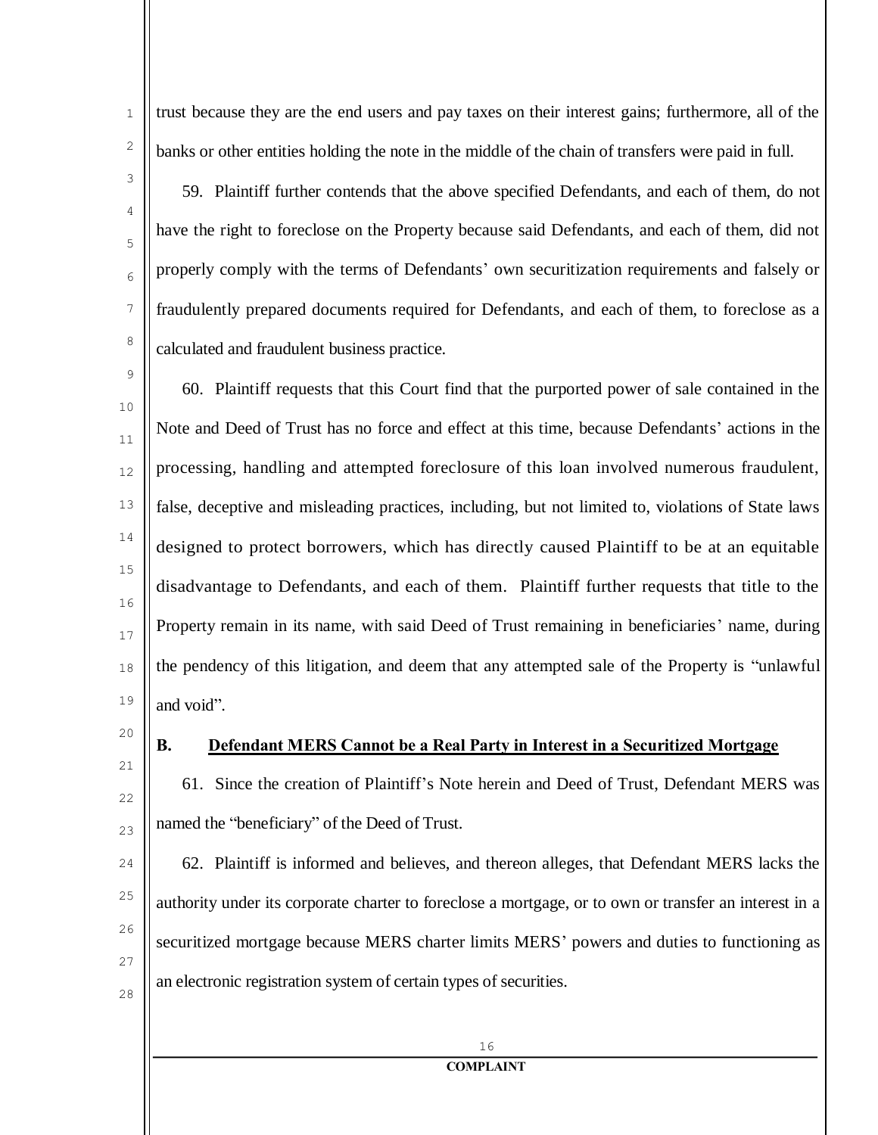4

5

6

7

8

1

trust because they are the end users and pay taxes on their interest gains; furthermore, all of the banks or other entities holding the note in the middle of the chain of transfers were paid in full.

59. Plaintiff further contends that the above specified Defendants, and each of them, do not have the right to foreclose on the Property because said Defendants, and each of them, did not properly comply with the terms of Defendants' own securitization requirements and falsely or fraudulently prepared documents required for Defendants, and each of them, to foreclose as a calculated and fraudulent business practice.

9 10 11 12 13 14 15 16 17 18 19 60. Plaintiff requests that this Court find that the purported power of sale contained in the Note and Deed of Trust has no force and effect at this time, because Defendants' actions in the processing, handling and attempted foreclosure of this loan involved numerous fraudulent, false, deceptive and misleading practices, including, but not limited to, violations of State laws designed to protect borrowers, which has directly caused Plaintiff to be at an equitable disadvantage to Defendants, and each of them. Plaintiff further requests that title to the Property remain in its name, with said Deed of Trust remaining in beneficiaries' name, during the pendency of this litigation, and deem that any attempted sale of the Property is "unlawful and void".

20

21

22

23

25

26

27

28

#### **B. Defendant MERS Cannot be a Real Party in Interest in a Securitized Mortgage**

61. Since the creation of Plaintiff's Note herein and Deed of Trust, Defendant MERS was named the "beneficiary" of the Deed of Trust.

 $24$ 62. Plaintiff is informed and believes, and thereon alleges, that Defendant MERS lacks the authority under its corporate charter to foreclose a mortgage, or to own or transfer an interest in a securitized mortgage because MERS charter limits MERS' powers and duties to functioning as an electronic registration system of certain types of securities.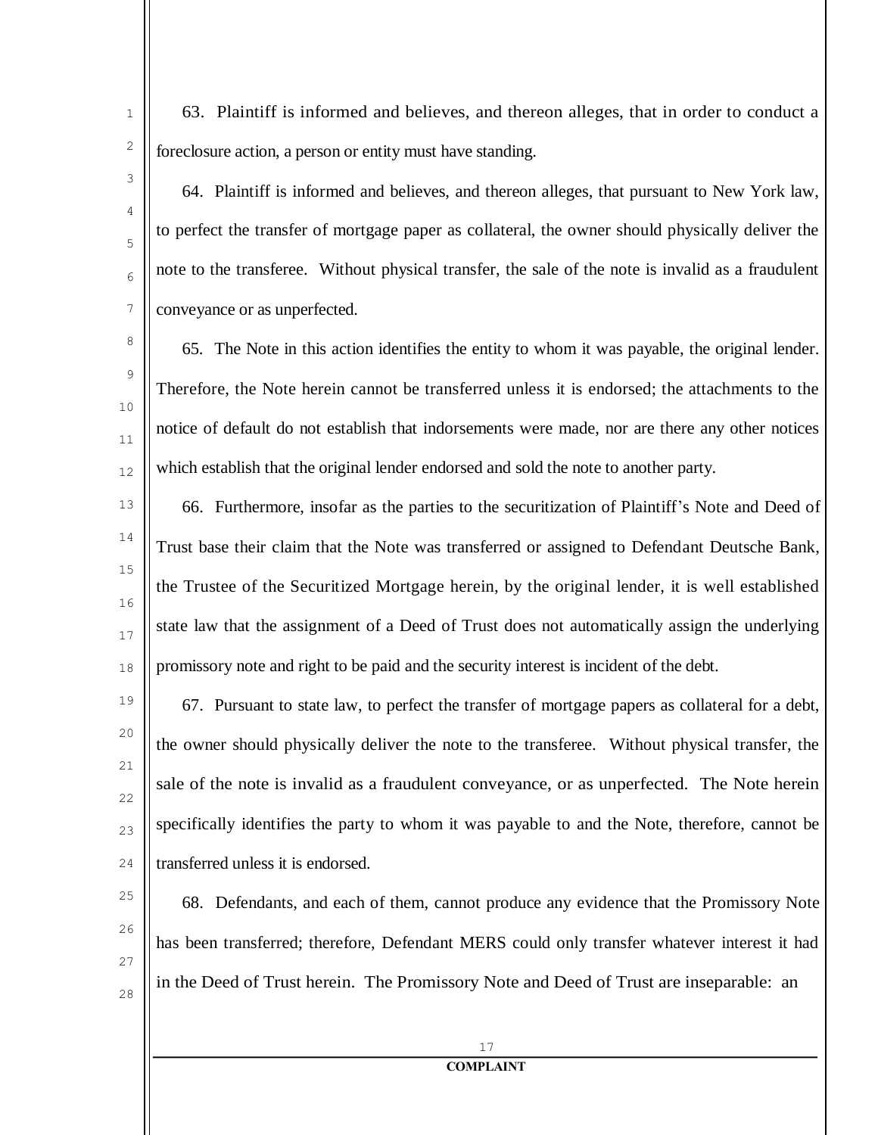4

5

6

7

8

9

10

11

12

14

17

18

25

 $26$ 

27

28

1

63. Plaintiff is informed and believes, and thereon alleges, that in order to conduct a foreclosure action, a person or entity must have standing.

64. Plaintiff is informed and believes, and thereon alleges, that pursuant to New York law, to perfect the transfer of mortgage paper as collateral, the owner should physically deliver the note to the transferee. Without physical transfer, the sale of the note is invalid as a fraudulent conveyance or as unperfected.

65. The Note in this action identifies the entity to whom it was payable, the original lender. Therefore, the Note herein cannot be transferred unless it is endorsed; the attachments to the notice of default do not establish that indorsements were made, nor are there any other notices which establish that the original lender endorsed and sold the note to another party.

13 15 16 66. Furthermore, insofar as the parties to the securitization of Plaintiff's Note and Deed of Trust base their claim that the Note was transferred or assigned to Defendant Deutsche Bank, the Trustee of the Securitized Mortgage herein, by the original lender, it is well established state law that the assignment of a Deed of Trust does not automatically assign the underlying promissory note and right to be paid and the security interest is incident of the debt.

19 20 21 22 23  $24$ 67. Pursuant to state law, to perfect the transfer of mortgage papers as collateral for a debt, the owner should physically deliver the note to the transferee. Without physical transfer, the sale of the note is invalid as a fraudulent conveyance, or as unperfected. The Note herein specifically identifies the party to whom it was payable to and the Note, therefore, cannot be transferred unless it is endorsed.

68. Defendants, and each of them, cannot produce any evidence that the Promissory Note has been transferred; therefore, Defendant MERS could only transfer whatever interest it had in the Deed of Trust herein. The Promissory Note and Deed of Trust are inseparable: an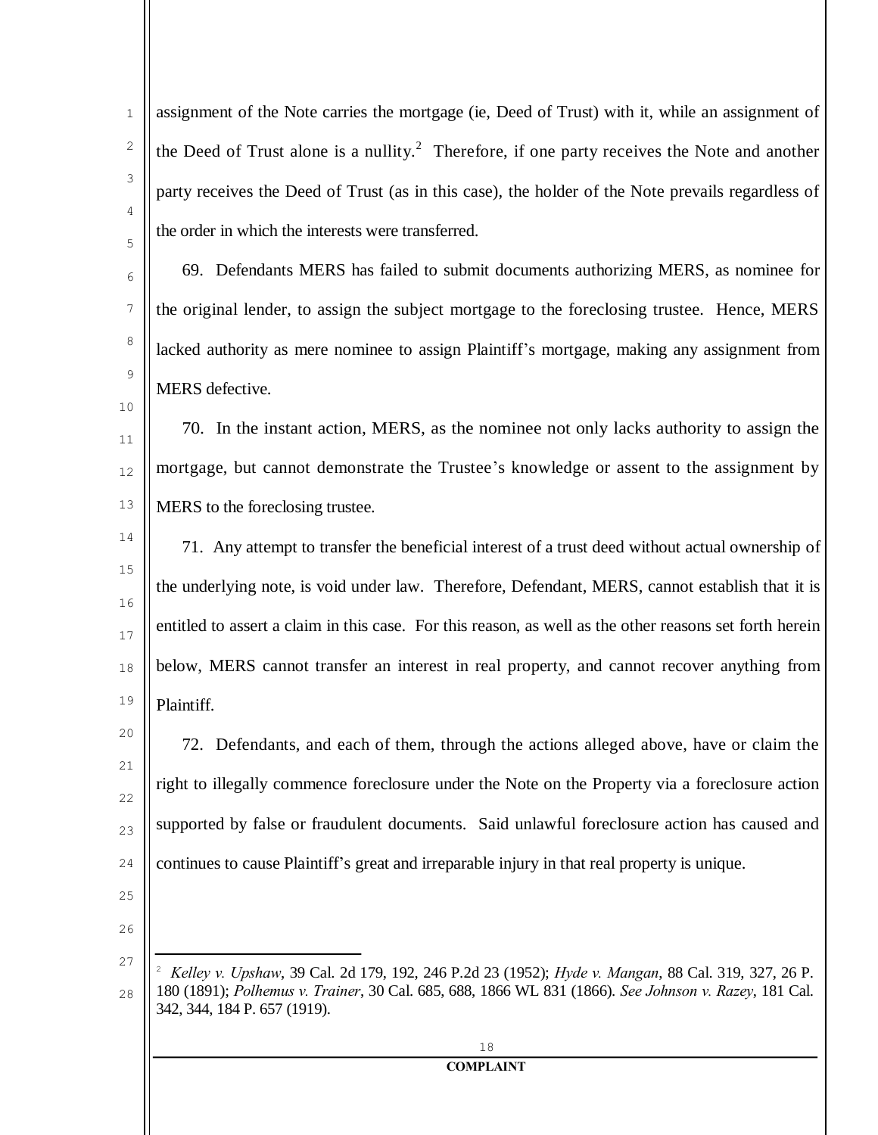assignment of the Note carries the mortgage (ie, Deed of Trust) with it, while an assignment of the Deed of Trust alone is a nullity.<sup>2</sup> Therefore, if one party receives the Note and another party receives the Deed of Trust (as in this case), the holder of the Note prevails regardless of the order in which the interests were transferred.

69. Defendants MERS has failed to submit documents authorizing MERS, as nominee for the original lender, to assign the subject mortgage to the foreclosing trustee. Hence, MERS lacked authority as mere nominee to assign Plaintiff's mortgage, making any assignment from MERS defective.

11 12 13 70. In the instant action, MERS, as the nominee not only lacks authority to assign the mortgage, but cannot demonstrate the Trustee's knowledge or assent to the assignment by MERS to the foreclosing trustee.

14 15 16 17 18 19 71. Any attempt to transfer the beneficial interest of a trust deed without actual ownership of the underlying note, is void under law. Therefore, Defendant, MERS, cannot establish that it is entitled to assert a claim in this case. For this reason, as well as the other reasons set forth herein below, MERS cannot transfer an interest in real property, and cannot recover anything from Plaintiff.

20 21 22  $23$  $24$ 72. Defendants, and each of them, through the actions alleged above, have or claim the right to illegally commence foreclosure under the Note on the Property via a foreclosure action supported by false or fraudulent documents. Said unlawful foreclosure action has caused and continues to cause Plaintiff's great and irreparable injury in that real property is unique.

 $26$ 

25

1

2

3

4

5

6

7

8

9

<sup>27</sup> 28 <sup>2</sup> *Kelley v. Upshaw*, 39 Cal. 2d 179, 192, 246 P.2d 23 (1952); *Hyde v. Mangan*, 88 Cal. 319, 327, 26 P. 180 (1891); *Polhemus v. Trainer*, 30 Cal. 685, 688, 1866 WL 831 (1866). *See Johnson v. Razey*, 181 Cal. 342, 344, 184 P. 657 (1919).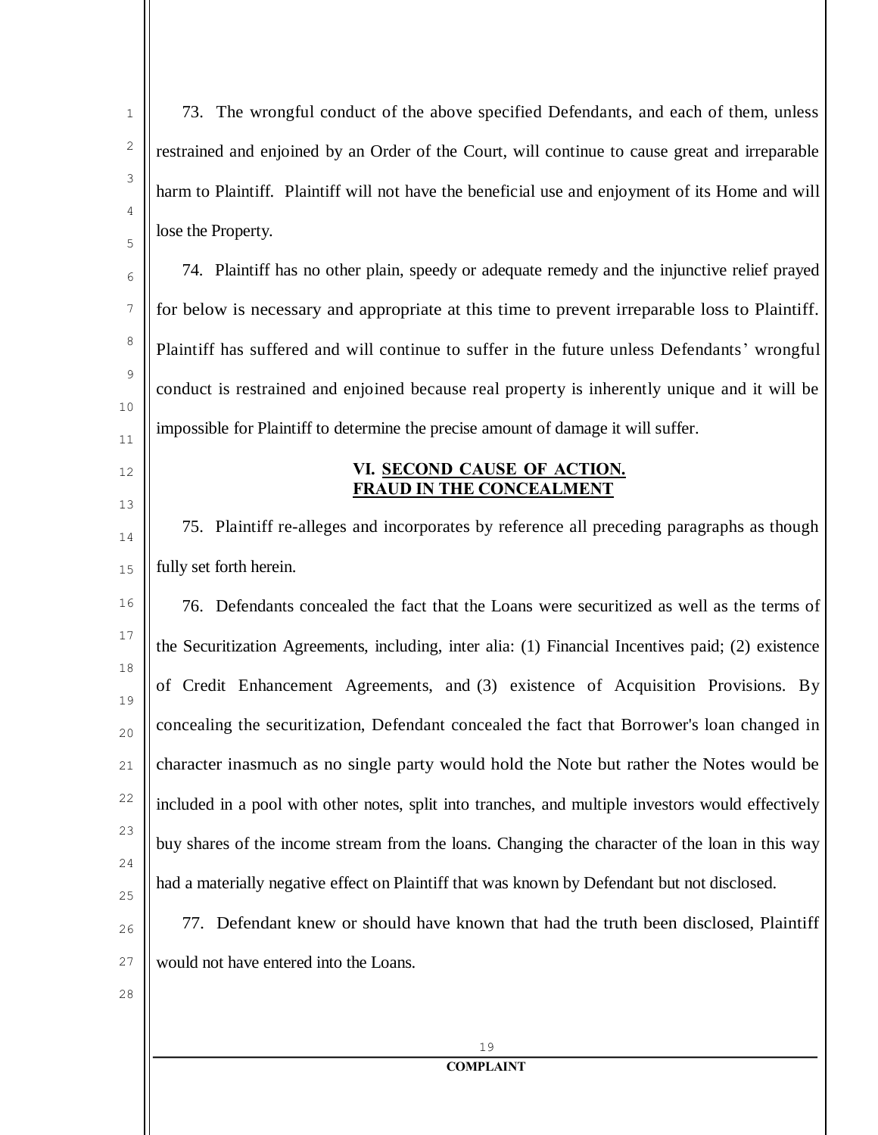73. The wrongful conduct of the above specified Defendants, and each of them, unless restrained and enjoined by an Order of the Court, will continue to cause great and irreparable harm to Plaintiff. Plaintiff will not have the beneficial use and enjoyment of its Home and will lose the Property.

74. Plaintiff has no other plain, speedy or adequate remedy and the injunctive relief prayed for below is necessary and appropriate at this time to prevent irreparable loss to Plaintiff. Plaintiff has suffered and will continue to suffer in the future unless Defendants' wrongful conduct is restrained and enjoined because real property is inherently unique and it will be impossible for Plaintiff to determine the precise amount of damage it will suffer.

## **VI. SECOND CAUSE OF ACTION. FRAUD IN THE CONCEALMENT**

75. Plaintiff re-alleges and incorporates by reference all preceding paragraphs as though fully set forth herein.

16 17 18 19 20 21 22 23  $24$ 25 76. Defendants concealed the fact that the Loans were securitized as well as the terms of the Securitization Agreements, including, inter alia: (1) Financial Incentives paid; (2) existence of Credit Enhancement Agreements, and (3) existence of Acquisition Provisions. By concealing the securitization, Defendant concealed the fact that Borrower's loan changed in character inasmuch as no single party would hold the Note but rather the Notes would be included in a pool with other notes, split into tranches, and multiple investors would effectively buy shares of the income stream from the loans. Changing the character of the loan in this way had a materially negative effect on Plaintiff that was known by Defendant but not disclosed.

- 77. Defendant knew or should have known that had the truth been disclosed, Plaintiff would not have entered into the Loans.
- 28

26

27

1

2

3

4

5

6

7

8

9

10

11

12

13

14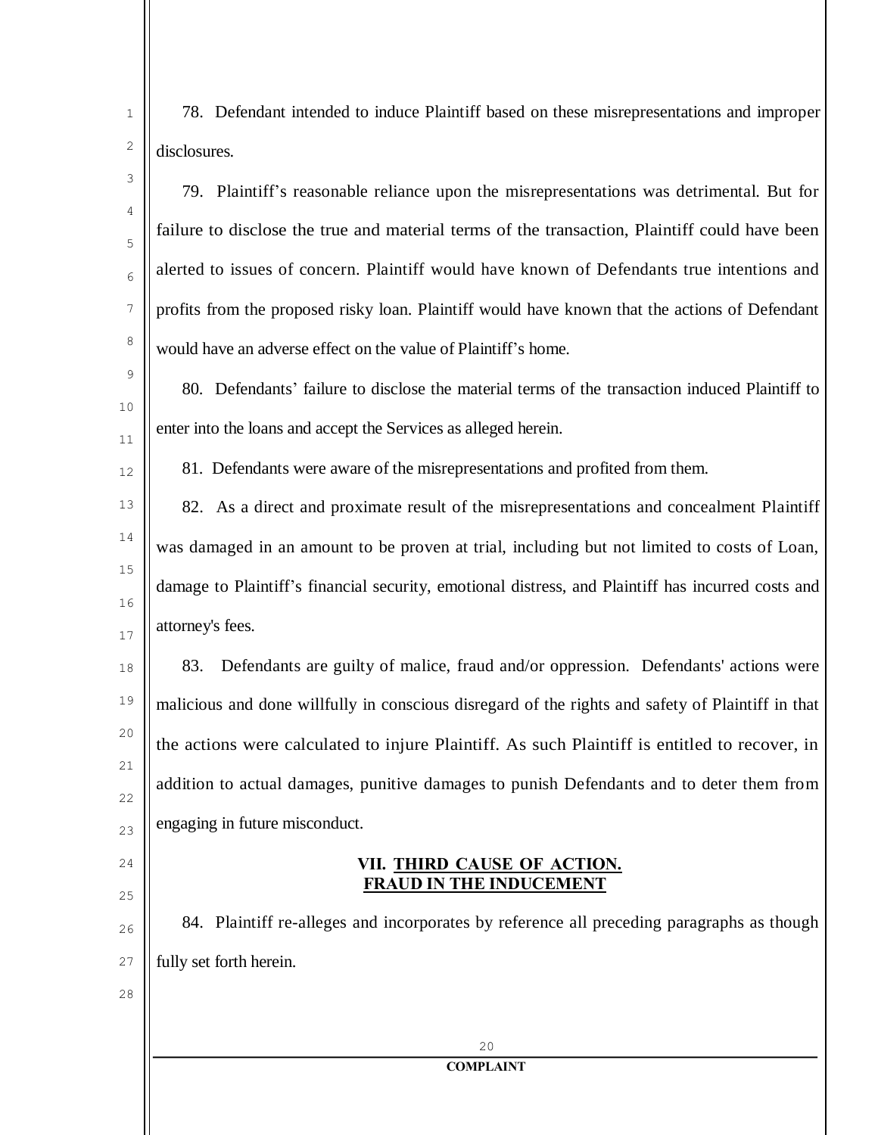78. Defendant intended to induce Plaintiff based on these misrepresentations and improper disclosures.

79. Plaintiff's reasonable reliance upon the misrepresentations was detrimental. But for failure to disclose the true and material terms of the transaction, Plaintiff could have been alerted to issues of concern. Plaintiff would have known of Defendants true intentions and profits from the proposed risky loan. Plaintiff would have known that the actions of Defendant would have an adverse effect on the value of Plaintiff's home.

80. Defendants' failure to disclose the material terms of the transaction induced Plaintiff to enter into the loans and accept the Services as alleged herein.

81. Defendants were aware of the misrepresentations and profited from them.

82. As a direct and proximate result of the misrepresentations and concealment Plaintiff was damaged in an amount to be proven at trial, including but not limited to costs of Loan, damage to Plaintiff's financial security, emotional distress, and Plaintiff has incurred costs and attorney's fees.

18 19 20 21 22  $23$ 83. Defendants are guilty of malice, fraud and/or oppression. Defendants' actions were malicious and done willfully in conscious disregard of the rights and safety of Plaintiff in that the actions were calculated to injure Plaintiff. As such Plaintiff is entitled to recover, in addition to actual damages, punitive damages to punish Defendants and to deter them from engaging in future misconduct.

# **VII. THIRD CAUSE OF ACTION. FRAUD IN THE INDUCEMENT**

26 27 84. Plaintiff re-alleges and incorporates by reference all preceding paragraphs as though fully set forth herein.

> 20 **COMPLAINT**

28

 $24$ 

25

1

2

3

4

5

6

7

8

9

10

11

12

13

14

15

16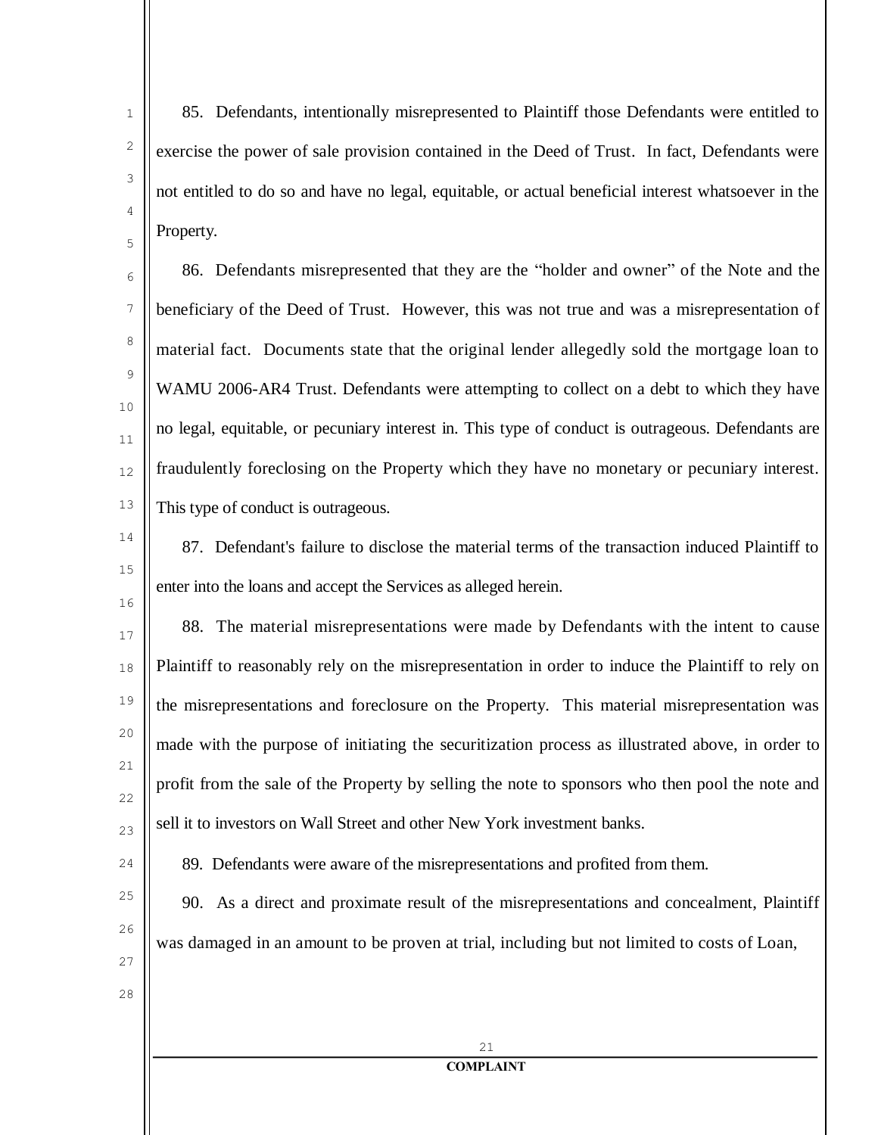4

5

6

7

8

9

10

11

12

13

1

85. Defendants, intentionally misrepresented to Plaintiff those Defendants were entitled to exercise the power of sale provision contained in the Deed of Trust. In fact, Defendants were not entitled to do so and have no legal, equitable, or actual beneficial interest whatsoever in the Property.

86. Defendants misrepresented that they are the "holder and owner" of the Note and the beneficiary of the Deed of Trust. However, this was not true and was a misrepresentation of material fact. Documents state that the original lender allegedly sold the mortgage loan to WAMU 2006-AR4 Trust. Defendants were attempting to collect on a debt to which they have no legal, equitable, or pecuniary interest in. This type of conduct is outrageous. Defendants are fraudulently foreclosing on the Property which they have no monetary or pecuniary interest. This type of conduct is outrageous.

14

15

16

87. Defendant's failure to disclose the material terms of the transaction induced Plaintiff to enter into the loans and accept the Services as alleged herein.

17 18 19 20 21 22 23 88. The material misrepresentations were made by Defendants with the intent to cause Plaintiff to reasonably rely on the misrepresentation in order to induce the Plaintiff to rely on the misrepresentations and foreclosure on the Property. This material misrepresentation was made with the purpose of initiating the securitization process as illustrated above, in order to profit from the sale of the Property by selling the note to sponsors who then pool the note and sell it to investors on Wall Street and other New York investment banks.

 $24$ 25 89. Defendants were aware of the misrepresentations and profited from them.

90. As a direct and proximate result of the misrepresentations and concealment, Plaintiff was damaged in an amount to be proven at trial, including but not limited to costs of Loan,

27

26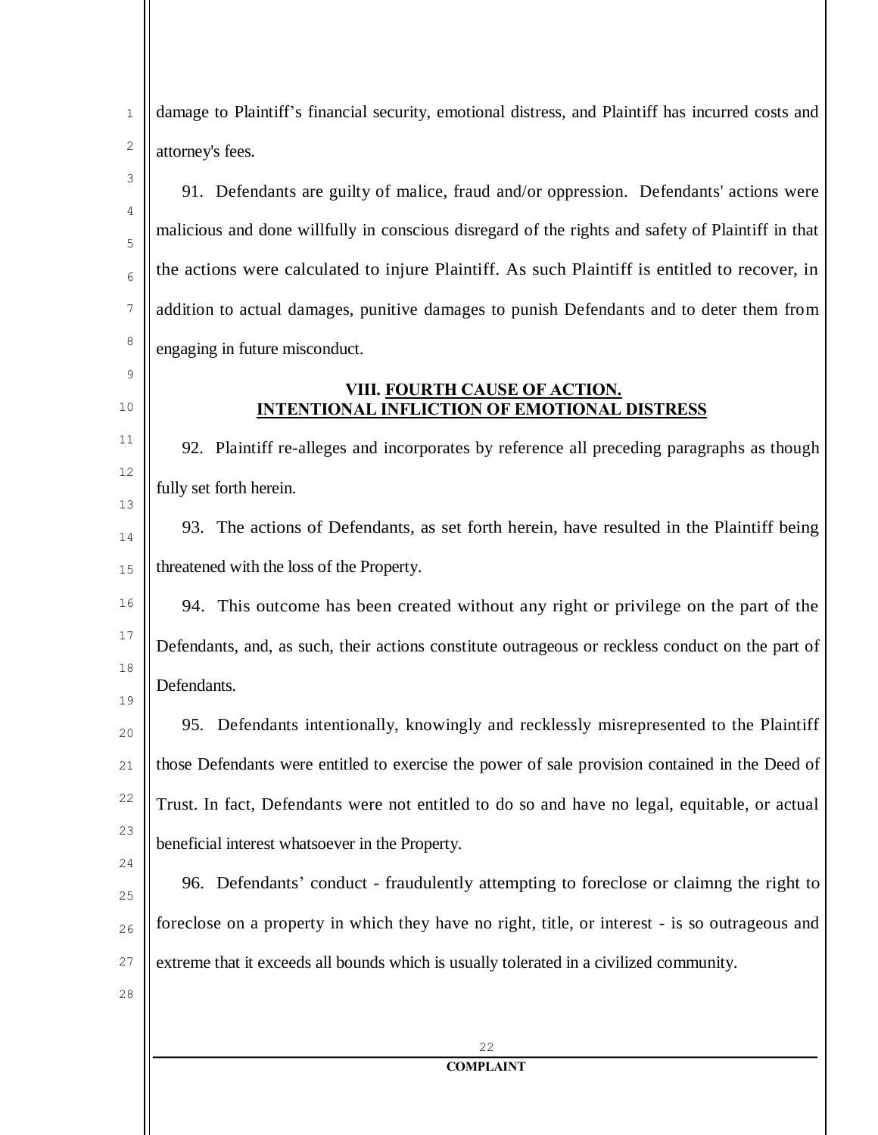| $\mathbf{1}$ | damage to Plaintiff's financial security, emotional distress, and Plaintiff has incurred costs and |
|--------------|----------------------------------------------------------------------------------------------------|
| 2            | attorney's fees.                                                                                   |
| 3            | 91. Defendants are guilty of malice, fraud and/or oppression. Defendants' actions were             |
| 4<br>5       | malicious and done willfully in conscious disregard of the rights and safety of Plaintiff in that  |
| 6            | the actions were calculated to injure Plaintiff. As such Plaintiff is entitled to recover, in      |
| 7            | addition to actual damages, punitive damages to punish Defendants and to deter them from           |
| 8            | engaging in future misconduct.                                                                     |
| 9<br>10      | VIII. FOURTH CAUSE OF ACTION.<br><b>INTENTIONAL INFLICTION OF EMOTIONAL DISTRESS</b>               |
| 11           | 92. Plaintiff re-alleges and incorporates by reference all preceding paragraphs as though          |
| 12           | fully set forth herein.                                                                            |
| 13<br>14     | 93. The actions of Defendants, as set forth herein, have resulted in the Plaintiff being           |
| 15           | threatened with the loss of the Property.                                                          |
| 16           | 94. This outcome has been created without any right or privilege on the part of the                |
| 17           | Defendants, and, as such, their actions constitute outrageous or reckless conduct on the part of   |
| 18<br>19     | Defendants.                                                                                        |
| 20           | 95. Defendants intentionally, knowingly and recklessly misrepresented to the Plaintiff             |
| 21           | those Defendants were entitled to exercise the power of sale provision contained in the Deed of    |
| 22           | Trust. In fact, Defendants were not entitled to do so and have no legal, equitable, or actual      |
| 23<br>24     | beneficial interest whatsoever in the Property.                                                    |
| 25           | 96. Defendants' conduct - fraudulently attempting to foreclose or claimng the right to             |
| 26           | foreclose on a property in which they have no right, title, or interest - is so outrageous and     |
| 27           | extreme that it exceeds all bounds which is usually tolerated in a civilized community.            |
| 28           |                                                                                                    |
|              | 22                                                                                                 |
|              | <b>COMPLAINT</b>                                                                                   |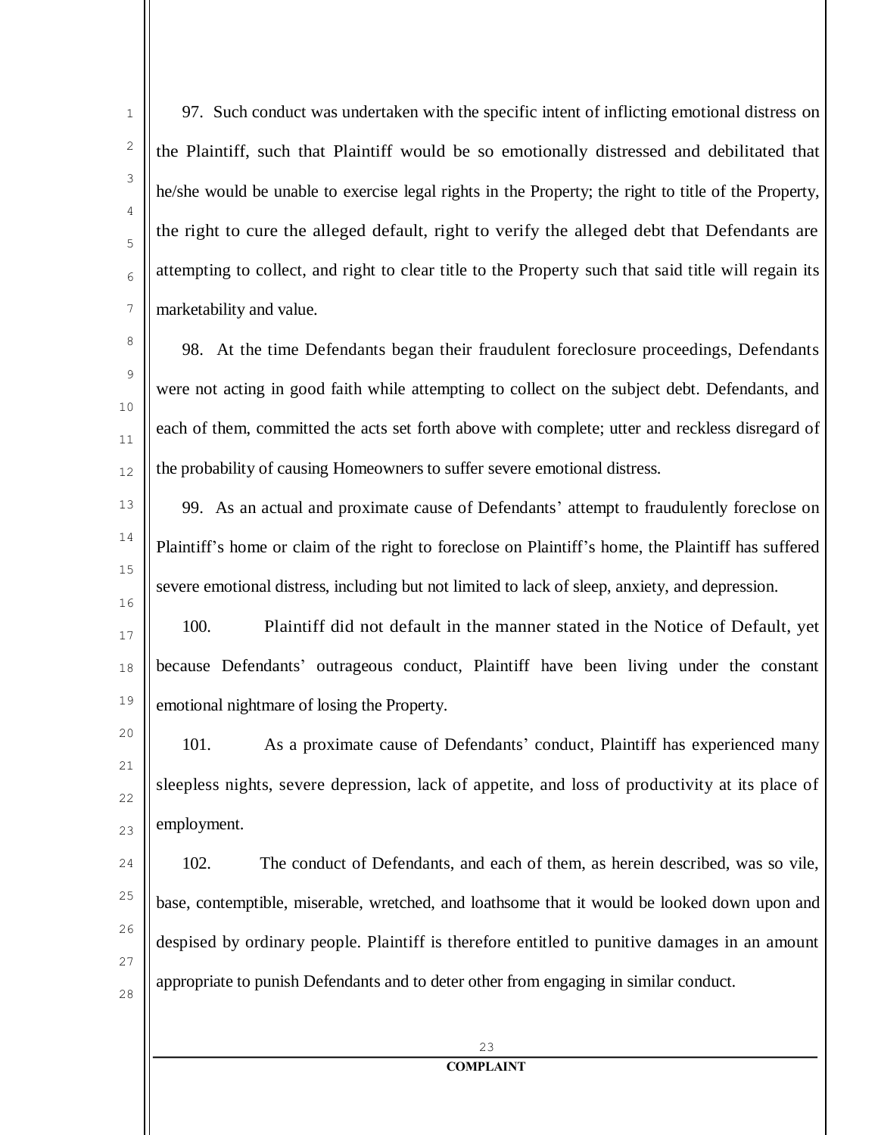97. Such conduct was undertaken with the specific intent of inflicting emotional distress on the Plaintiff, such that Plaintiff would be so emotionally distressed and debilitated that he/she would be unable to exercise legal rights in the Property; the right to title of the Property, the right to cure the alleged default, right to verify the alleged debt that Defendants are attempting to collect, and right to clear title to the Property such that said title will regain its marketability and value.

1

2

3

4

5

6

7

8

9

 $1<sub>0</sub>$ 

11

12

13

14

15

16

98. At the time Defendants began their fraudulent foreclosure proceedings, Defendants were not acting in good faith while attempting to collect on the subject debt. Defendants, and each of them, committed the acts set forth above with complete; utter and reckless disregard of the probability of causing Homeowners to suffer severe emotional distress.

99. As an actual and proximate cause of Defendants' attempt to fraudulently foreclose on Plaintiff's home or claim of the right to foreclose on Plaintiff's home, the Plaintiff has suffered severe emotional distress, including but not limited to lack of sleep, anxiety, and depression.

17 18 19 100. Plaintiff did not default in the manner stated in the Notice of Default, yet because Defendants' outrageous conduct, Plaintiff have been living under the constant emotional nightmare of losing the Property.

 $20$ 21 22 23 101. As a proximate cause of Defendants' conduct, Plaintiff has experienced many sleepless nights, severe depression, lack of appetite, and loss of productivity at its place of employment.

 $24$ 25 26 27 28 102. The conduct of Defendants, and each of them, as herein described, was so vile, base, contemptible, miserable, wretched, and loathsome that it would be looked down upon and despised by ordinary people. Plaintiff is therefore entitled to punitive damages in an amount appropriate to punish Defendants and to deter other from engaging in similar conduct.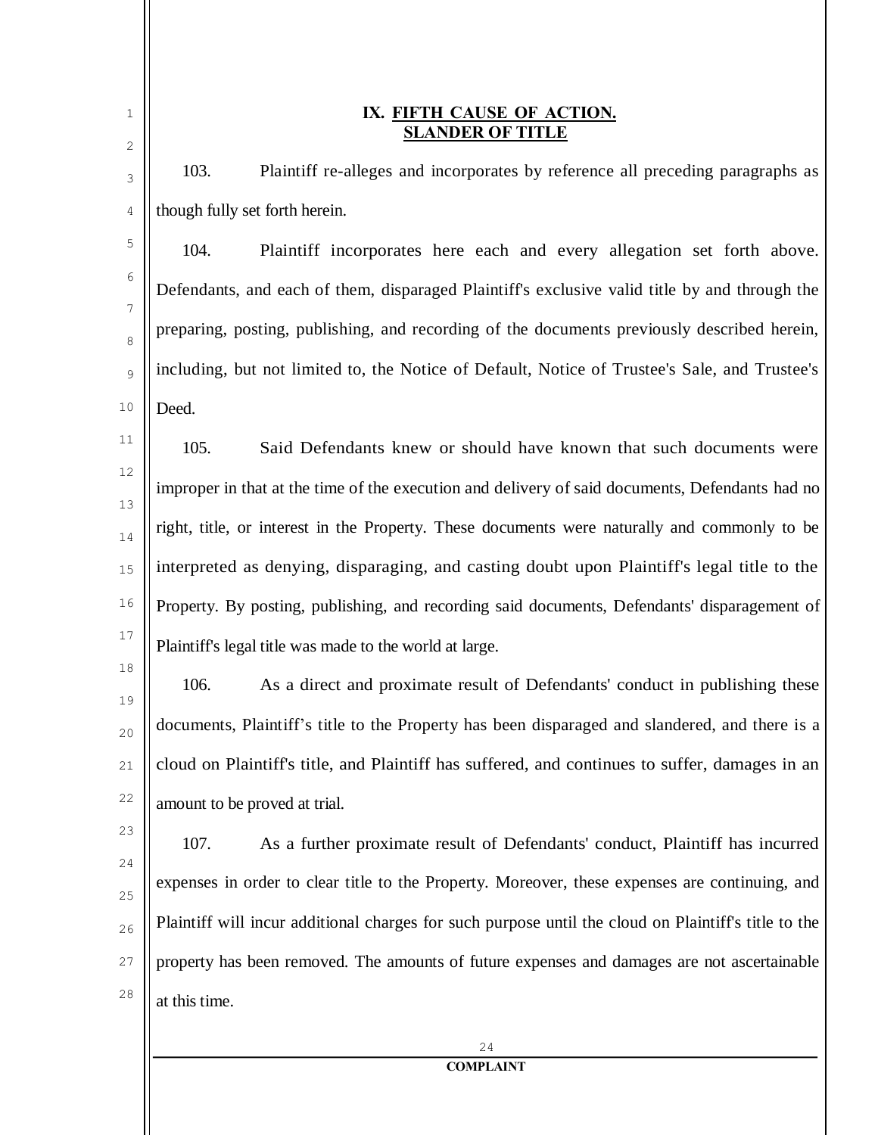| $\mathbf{1}$<br>$\sqrt{2}$ | IX. FIFTH CAUSE OF ACTION.<br><b>SLANDER OF TITLE</b>                                                |
|----------------------------|------------------------------------------------------------------------------------------------------|
| 3                          | 103.<br>Plaintiff re-alleges and incorporates by reference all preceding paragraphs as               |
| 4                          | though fully set forth herein.                                                                       |
| 5                          | 104.<br>Plaintiff incorporates here each and every allegation set forth above.                       |
| 6                          | Defendants, and each of them, disparaged Plaintiff's exclusive valid title by and through the        |
| 7<br>8                     | preparing, posting, publishing, and recording of the documents previously described herein,          |
| 9                          | including, but not limited to, the Notice of Default, Notice of Trustee's Sale, and Trustee's        |
| 10                         | Deed.                                                                                                |
| 11                         | 105.<br>Said Defendants knew or should have known that such documents were                           |
| 12                         | improper in that at the time of the execution and delivery of said documents, Defendants had no      |
| 13                         | right, title, or interest in the Property. These documents were naturally and commonly to be         |
| 14<br>15                   | interpreted as denying, disparaging, and casting doubt upon Plaintiff's legal title to the           |
| 16                         | Property. By posting, publishing, and recording said documents, Defendants' disparagement of         |
| 17                         | Plaintiff's legal title was made to the world at large.                                              |
| 18                         | 106.<br>As a direct and proximate result of Defendants' conduct in publishing these                  |
| 19                         | documents, Plaintiff's title to the Property has been disparaged and slandered, and there is a       |
| 20                         | cloud on Plaintiff's title, and Plaintiff has suffered, and continues to suffer, damages in an       |
| 21<br>22                   |                                                                                                      |
| 23                         | amount to be proved at trial.                                                                        |
| 24                         | 107.<br>As a further proximate result of Defendants' conduct, Plaintiff has incurred                 |
| 25                         | expenses in order to clear title to the Property. Moreover, these expenses are continuing, and       |
| 26                         | Plaintiff will incur additional charges for such purpose until the cloud on Plaintiff's title to the |
| 27                         | property has been removed. The amounts of future expenses and damages are not ascertainable          |
| 28                         | at this time.                                                                                        |
|                            | 24                                                                                                   |
|                            | <b>COMPLAINT</b>                                                                                     |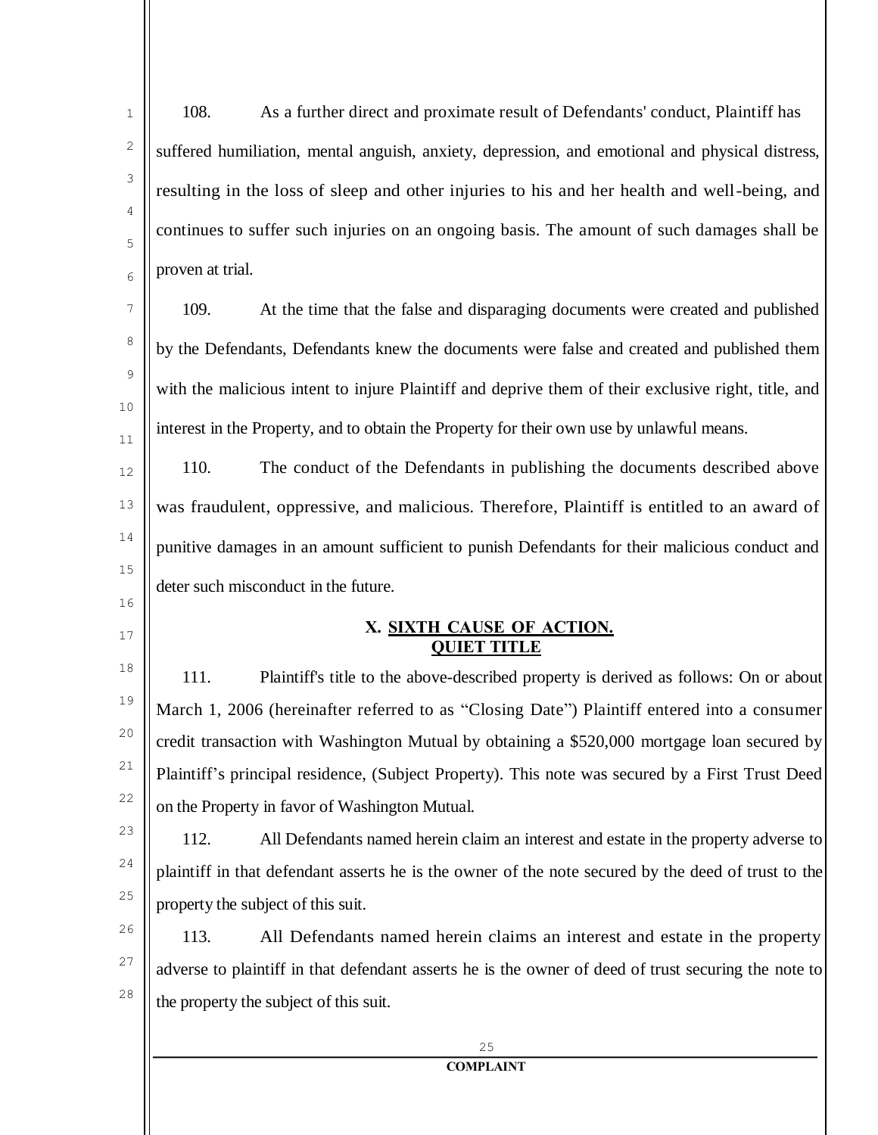<sup>1</sup> 108. As a further direct and proximate result of Defendants' conduct, Plaintiff has suffered humiliation, mental anguish, anxiety, depression, and emotional and physical distress, resulting in the loss of sleep and other injuries to his and her health and well-being, and continues to suffer such injuries on an ongoing basis. The amount of such damages shall be proven at trial.

109. At the time that the false and disparaging documents were created and published by the Defendants, Defendants knew the documents were false and created and published them with the malicious intent to injure Plaintiff and deprive them of their exclusive right, title, and interest in the Property, and to obtain the Property for their own use by unlawful means.

12 13 14 15 110. The conduct of the Defendants in publishing the documents described above was fraudulent, oppressive, and malicious. Therefore, Plaintiff is entitled to an award of punitive damages in an amount sufficient to punish Defendants for their malicious conduct and deter such misconduct in the future.

# **X. SIXTH CAUSE OF ACTION. QUIET TITLE**

111. Plaintiff's title to the above-described property is derived as follows: On or about March 1, 2006 (hereinafter referred to as "Closing Date") Plaintiff entered into a consumer credit transaction with Washington Mutual by obtaining a \$520,000 mortgage loan secured by Plaintiff's principal residence, (Subject Property). This note was secured by a First Trust Deed on the Property in favor of Washington Mutual.

23 24 25 112. All Defendants named herein claim an interest and estate in the property adverse to plaintiff in that defendant asserts he is the owner of the note secured by the deed of trust to the property the subject of this suit.

26 27 28 113. All Defendants named herein claims an interest and estate in the property adverse to plaintiff in that defendant asserts he is the owner of deed of trust securing the note to the property the subject of this suit.

16

17

18

19

20

21

22

2

3

4

5

6

7

8

9

10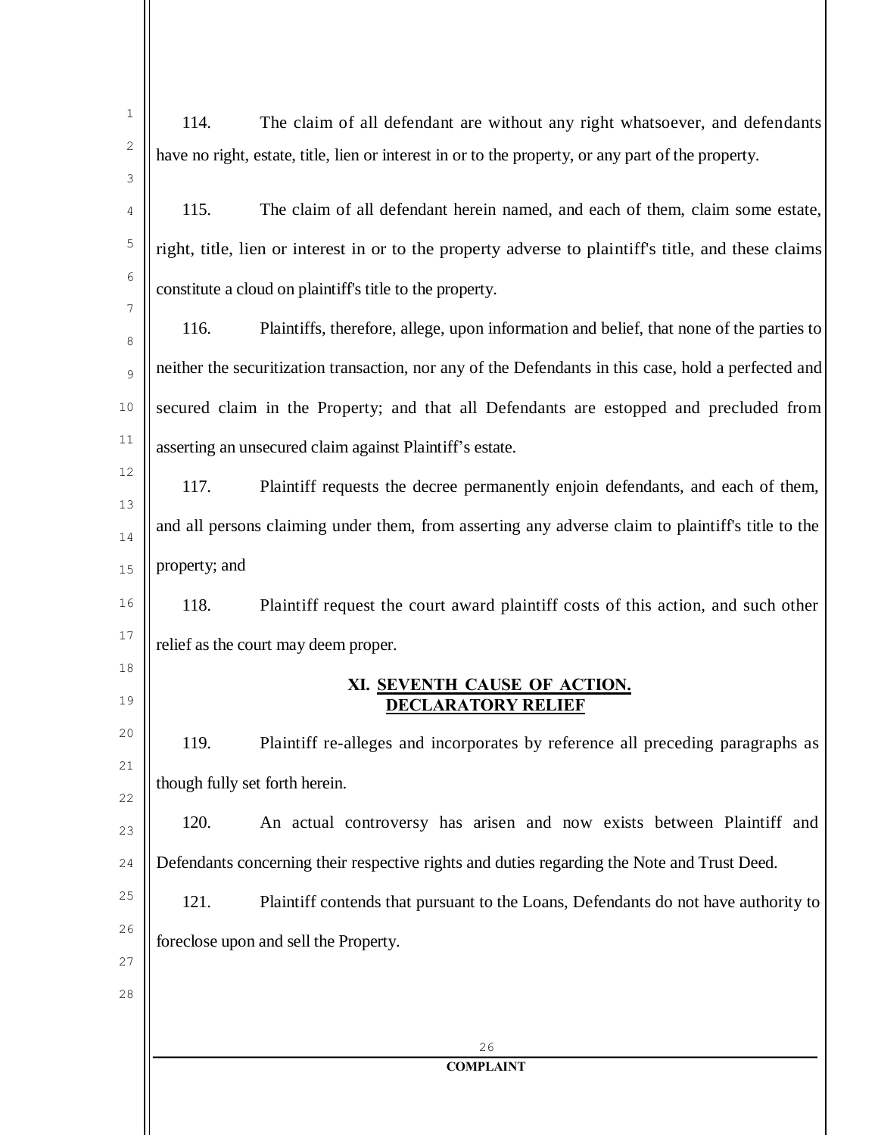| $\mathbf 1$ | 114.<br>The claim of all defendant are without any right whatsoever, and defendants                  |
|-------------|------------------------------------------------------------------------------------------------------|
| 2           | have no right, estate, title, lien or interest in or to the property, or any part of the property.   |
| 3           |                                                                                                      |
| 4           | 115.<br>The claim of all defendant herein named, and each of them, claim some estate,                |
| 5           | right, title, lien or interest in or to the property adverse to plaintiff's title, and these claims  |
| 6           | constitute a cloud on plaintiff's title to the property.                                             |
| 7<br>8      | 116.<br>Plaintiffs, therefore, allege, upon information and belief, that none of the parties to      |
| 9           | neither the securitization transaction, nor any of the Defendants in this case, hold a perfected and |
| 10          | secured claim in the Property; and that all Defendants are estopped and precluded from               |
| 11          | asserting an unsecured claim against Plaintiff's estate.                                             |
| 12          | 117.<br>Plaintiff requests the decree permanently enjoin defendants, and each of them,               |
| 13<br>14    | and all persons claiming under them, from asserting any adverse claim to plaintiff's title to the    |
| 15          | property; and                                                                                        |
| 16          | 118.<br>Plaintiff request the court award plaintiff costs of this action, and such other             |
| 17          | relief as the court may deem proper.                                                                 |
| 18<br>19    | XI. SEVENTH CAUSE OF ACTION.<br><b>DECLARATORY RELIEF</b>                                            |
| 20          | 119.<br>Plaintiff re-alleges and incorporates by reference all preceding paragraphs as               |
| 21<br>22    | though fully set forth herein.                                                                       |
| 23          | 120.<br>An actual controversy has arisen and now exists between Plaintiff and                        |
| 24          | Defendants concerning their respective rights and duties regarding the Note and Trust Deed.          |
| 25          | Plaintiff contends that pursuant to the Loans, Defendants do not have authority to<br>121.           |
| 26          | foreclose upon and sell the Property.                                                                |
| 27<br>28    |                                                                                                      |
|             |                                                                                                      |
|             | 26                                                                                                   |
|             | <b>COMPLAINT</b>                                                                                     |
|             |                                                                                                      |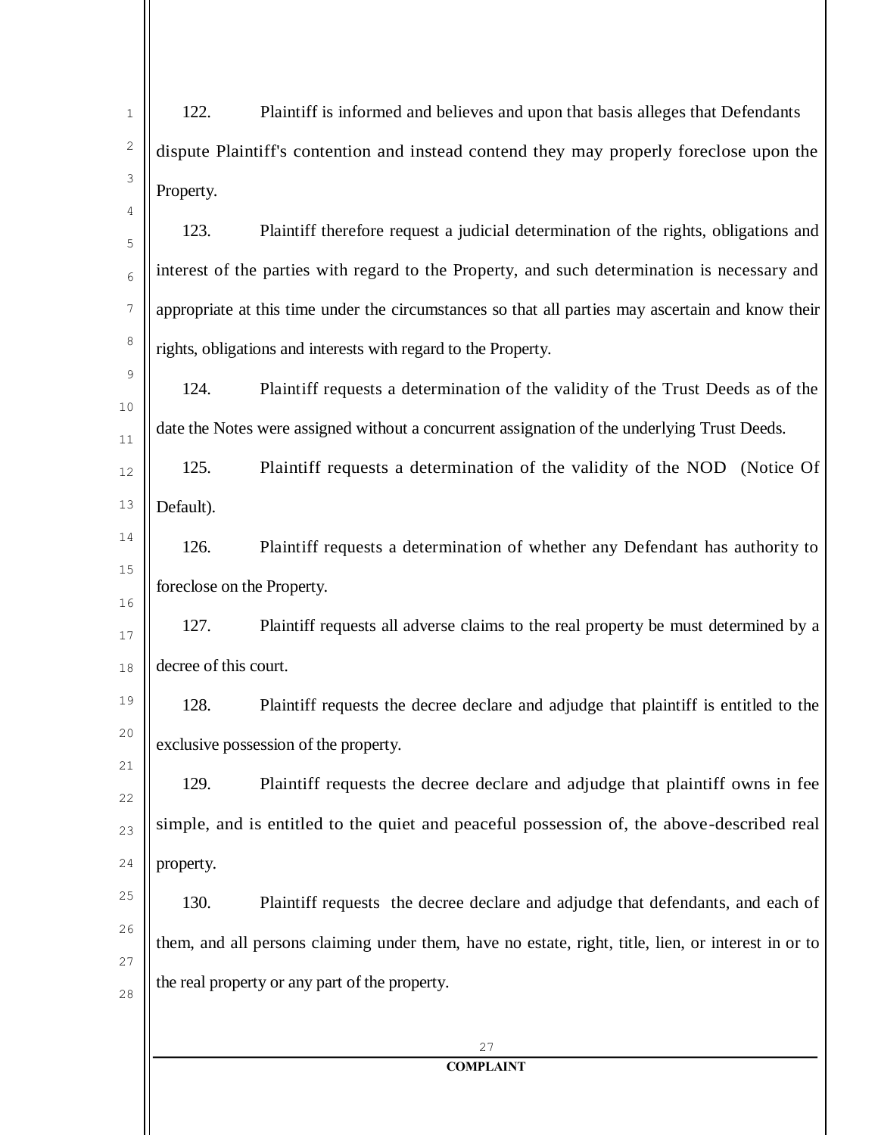| 1        | 122.<br>Plaintiff is informed and believes and upon that basis alleges that Defendants              |
|----------|-----------------------------------------------------------------------------------------------------|
| 2        | dispute Plaintiff's contention and instead contend they may properly foreclose upon the             |
| 3        | Property.                                                                                           |
| 4<br>5   | 123.<br>Plaintiff therefore request a judicial determination of the rights, obligations and         |
| 6        | interest of the parties with regard to the Property, and such determination is necessary and        |
| 7        | appropriate at this time under the circumstances so that all parties may ascertain and know their   |
| 8        | rights, obligations and interests with regard to the Property.                                      |
| 9        | 124.<br>Plaintiff requests a determination of the validity of the Trust Deeds as of the             |
| 10<br>11 | date the Notes were assigned without a concurrent assignation of the underlying Trust Deeds.        |
| 12       | 125.<br>Plaintiff requests a determination of the validity of the NOD (Notice Of                    |
| 13       | Default).                                                                                           |
| 14       | 126.<br>Plaintiff requests a determination of whether any Defendant has authority to                |
| 15       | foreclose on the Property.                                                                          |
| 16<br>17 | 127.<br>Plaintiff requests all adverse claims to the real property be must determined by a          |
| 18       | decree of this court.                                                                               |
| 19       | 128.<br>Plaintiff requests the decree declare and adjudge that plaintiff is entitled to the         |
| 20       | exclusive possession of the property.                                                               |
| 21       | Plaintiff requests the decree declare and adjudge that plaintiff owns in fee<br>129.                |
| 22<br>23 | simple, and is entitled to the quiet and peaceful possession of, the above-described real           |
| 24       | property.                                                                                           |
| 25       | 130.<br>Plaintiff requests the decree declare and adjudge that defendants, and each of              |
| 26       | them, and all persons claiming under them, have no estate, right, title, lien, or interest in or to |
| 27<br>28 | the real property or any part of the property.                                                      |
|          |                                                                                                     |
|          | 27<br><b>COMPLAINT</b>                                                                              |
|          |                                                                                                     |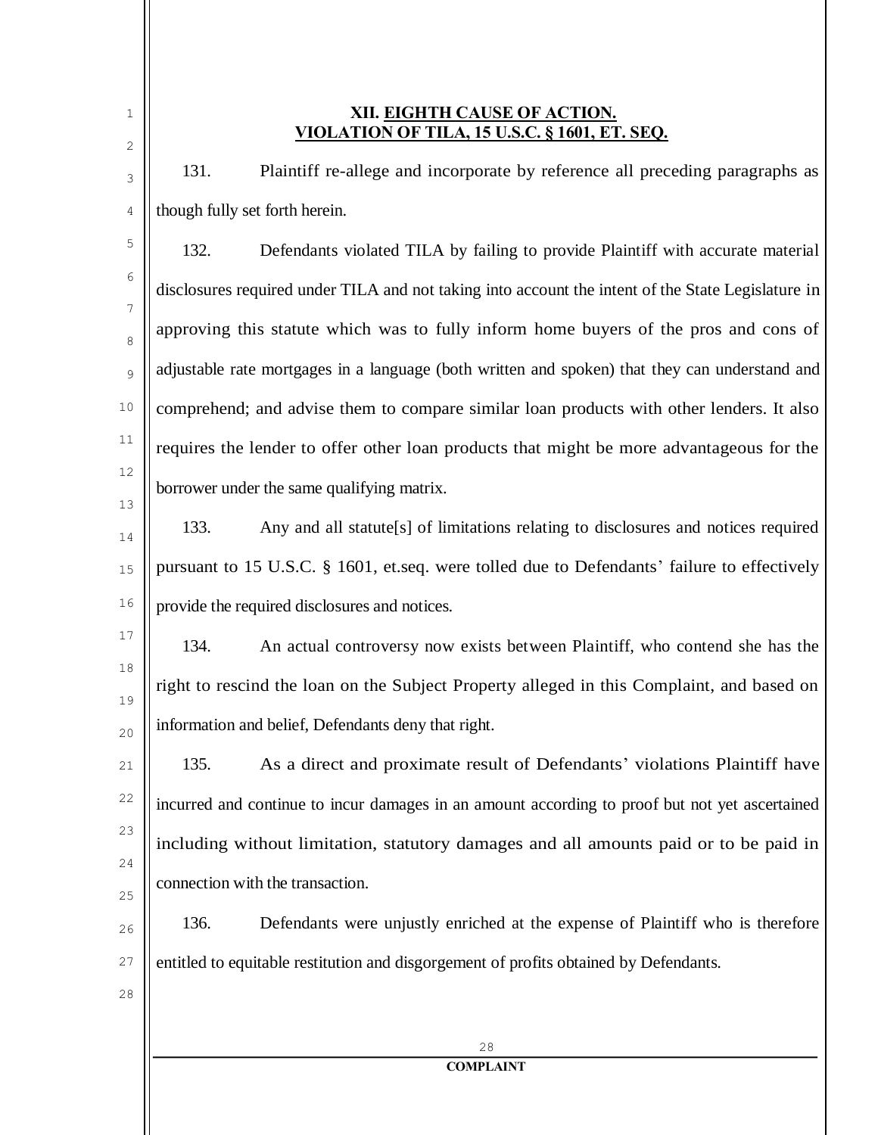| 1<br>2   | XII. EIGHTH CAUSE OF ACTION.<br>VIOLATION OF TILA, 15 U.S.C. § 1601, ET. SEQ.                      |
|----------|----------------------------------------------------------------------------------------------------|
| 3        | 131.<br>Plaintiff re-allege and incorporate by reference all preceding paragraphs as               |
| 4        | though fully set forth herein.                                                                     |
| 5        | 132.<br>Defendants violated TILA by failing to provide Plaintiff with accurate material            |
| 6        | disclosures required under TILA and not taking into account the intent of the State Legislature in |
| 7<br>8   | approving this statute which was to fully inform home buyers of the pros and cons of               |
| 9        | adjustable rate mortgages in a language (both written and spoken) that they can understand and     |
| 10       | comprehend; and advise them to compare similar loan products with other lenders. It also           |
| 11       | requires the lender to offer other loan products that might be more advantageous for the           |
| 12       | borrower under the same qualifying matrix.                                                         |
| 13<br>14 | 133.<br>Any and all statute[s] of limitations relating to disclosures and notices required         |
| 15       | pursuant to 15 U.S.C. § 1601, et.seq. were tolled due to Defendants' failure to effectively        |
| 16       | provide the required disclosures and notices.                                                      |
| 17       | 134.<br>An actual controversy now exists between Plaintiff, who contend she has the                |
| 18<br>19 | right to rescind the loan on the Subject Property alleged in this Complaint, and based on          |
| 20       | information and belief, Defendants deny that right.                                                |
| 21       | 135.<br>As a direct and proximate result of Defendants' violations Plaintiff have                  |
| 22       | incurred and continue to incur damages in an amount according to proof but not yet ascertained     |
| 23       | including without limitation, statutory damages and all amounts paid or to be paid in              |
| 24<br>25 | connection with the transaction.                                                                   |
| 26       | 136.<br>Defendants were unjustly enriched at the expense of Plaintiff who is therefore             |
| 27       | entitled to equitable restitution and disgorgement of profits obtained by Defendants.              |
| 28       |                                                                                                    |
|          | 28                                                                                                 |
|          | <b>COMPLAINT</b>                                                                                   |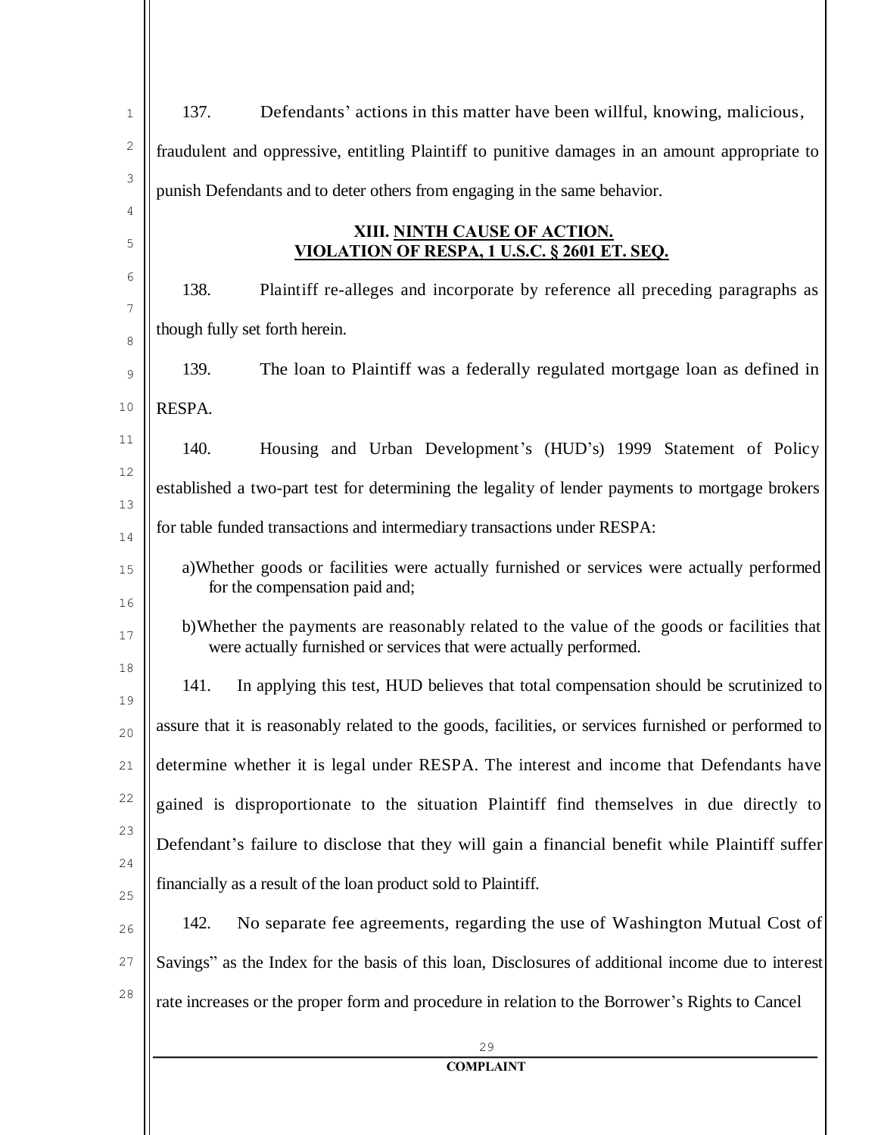| $\mathbf{1}$ | 137.<br>Defendants' actions in this matter have been willful, knowing, malicious,                                                                                |
|--------------|------------------------------------------------------------------------------------------------------------------------------------------------------------------|
| 2            | fraudulent and oppressive, entitling Plaintiff to punitive damages in an amount appropriate to                                                                   |
| 3            | punish Defendants and to deter others from engaging in the same behavior.                                                                                        |
| 4<br>5       | XIII. NINTH CAUSE OF ACTION.<br>VIOLATION OF RESPA, 1 U.S.C. § 2601 ET. SEQ.                                                                                     |
| 6            | 138.<br>Plaintiff re-alleges and incorporate by reference all preceding paragraphs as                                                                            |
| 7<br>8       | though fully set forth herein.                                                                                                                                   |
| 9            | 139.<br>The loan to Plaintiff was a federally regulated mortgage loan as defined in                                                                              |
| 10           | RESPA.                                                                                                                                                           |
| 11           | 140.<br>Housing and Urban Development's (HUD's) 1999 Statement of Policy                                                                                         |
| 12<br>13     | established a two-part test for determining the legality of lender payments to mortgage brokers                                                                  |
| 14           | for table funded transactions and intermediary transactions under RESPA:                                                                                         |
| 15<br>16     | a) Whether goods or facilities were actually furnished or services were actually performed<br>for the compensation paid and;                                     |
| 17           | b) Whether the payments are reasonably related to the value of the goods or facilities that<br>were actually furnished or services that were actually performed. |
| 18<br>19     | 141.<br>In applying this test, HUD believes that total compensation should be scrutinized to                                                                     |
| 20           | assure that it is reasonably related to the goods, facilities, or services furnished or performed to                                                             |
| 21           | determine whether it is legal under RESPA. The interest and income that Defendants have                                                                          |
| 22           | gained is disproportionate to the situation Plaintiff find themselves in due directly to                                                                         |
| 23<br>24     | Defendant's failure to disclose that they will gain a financial benefit while Plaintiff suffer                                                                   |
| 25           | financially as a result of the loan product sold to Plaintiff.                                                                                                   |
| 26           | 142.<br>No separate fee agreements, regarding the use of Washington Mutual Cost of                                                                               |
| 27           | Savings" as the Index for the basis of this loan, Disclosures of additional income due to interest                                                               |
| 28           | rate increases or the proper form and procedure in relation to the Borrower's Rights to Cancel                                                                   |
|              | 29                                                                                                                                                               |
|              | <b>COMPLAINT</b>                                                                                                                                                 |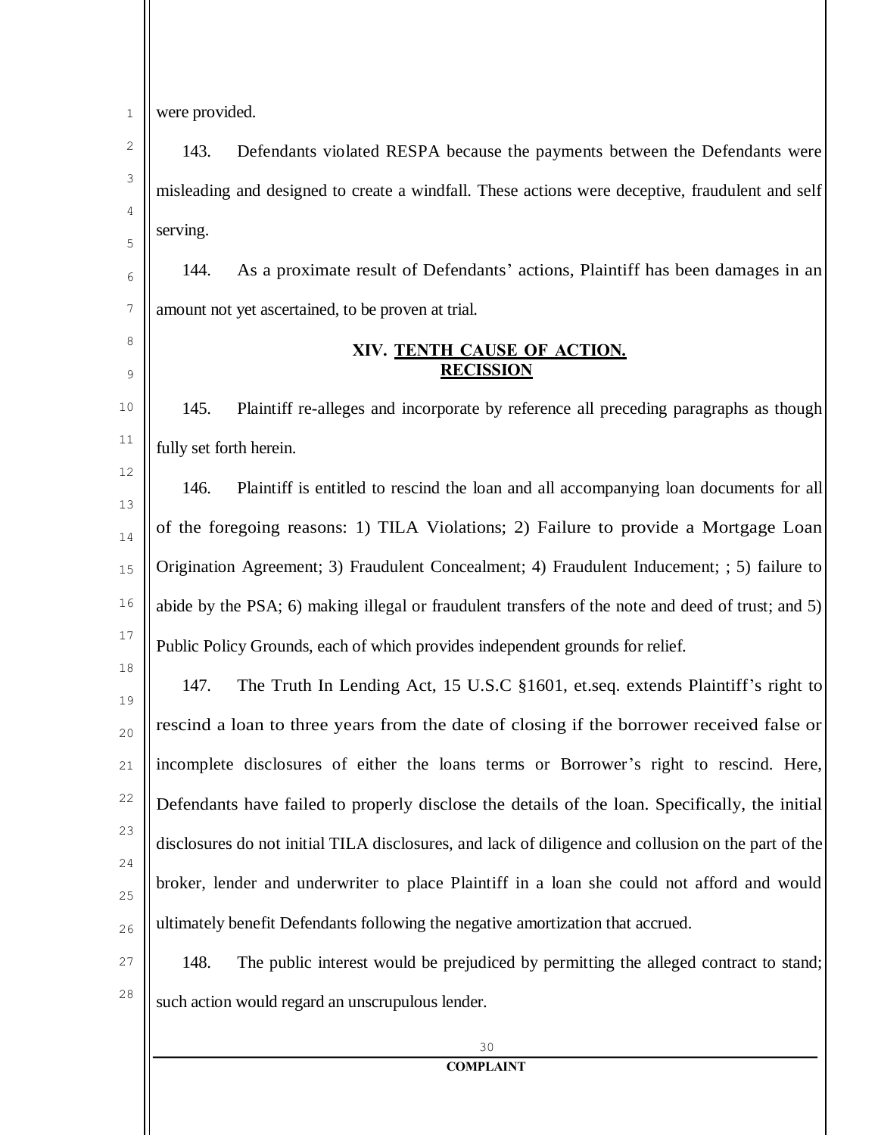|  |  |  | were provided. |
|--|--|--|----------------|
|--|--|--|----------------|

3

4

5

8

9

12

18

143. Defendants violated RESPA because the payments between the Defendants were misleading and designed to create a windfall. These actions were deceptive, fraudulent and self serving.

6 7 144. As a proximate result of Defendants' actions, Plaintiff has been damages in an amount not yet ascertained, to be proven at trial.

### **XIV. TENTH CAUSE OF ACTION. RECISSION**

10 11 145. Plaintiff re-alleges and incorporate by reference all preceding paragraphs as though fully set forth herein.

13 14 15 16 17 146. Plaintiff is entitled to rescind the loan and all accompanying loan documents for all of the foregoing reasons: 1) TILA Violations; 2) Failure to provide a Mortgage Loan Origination Agreement; 3) Fraudulent Concealment; 4) Fraudulent Inducement; ; 5) failure to abide by the PSA; 6) making illegal or fraudulent transfers of the note and deed of trust; and 5) Public Policy Grounds, each of which provides independent grounds for relief.

19 20 21 22 23  $24$ 25 26 147. The Truth In Lending Act, 15 U.S.C §1601, et.seq. extends Plaintiff's right to rescind a loan to three years from the date of closing if the borrower received false or incomplete disclosures of either the loans terms or Borrower's right to rescind. Here, Defendants have failed to properly disclose the details of the loan. Specifically, the initial disclosures do not initial TILA disclosures, and lack of diligence and collusion on the part of the broker, lender and underwriter to place Plaintiff in a loan she could not afford and would ultimately benefit Defendants following the negative amortization that accrued.

27

28

148. The public interest would be prejudiced by permitting the alleged contract to stand; such action would regard an unscrupulous lender.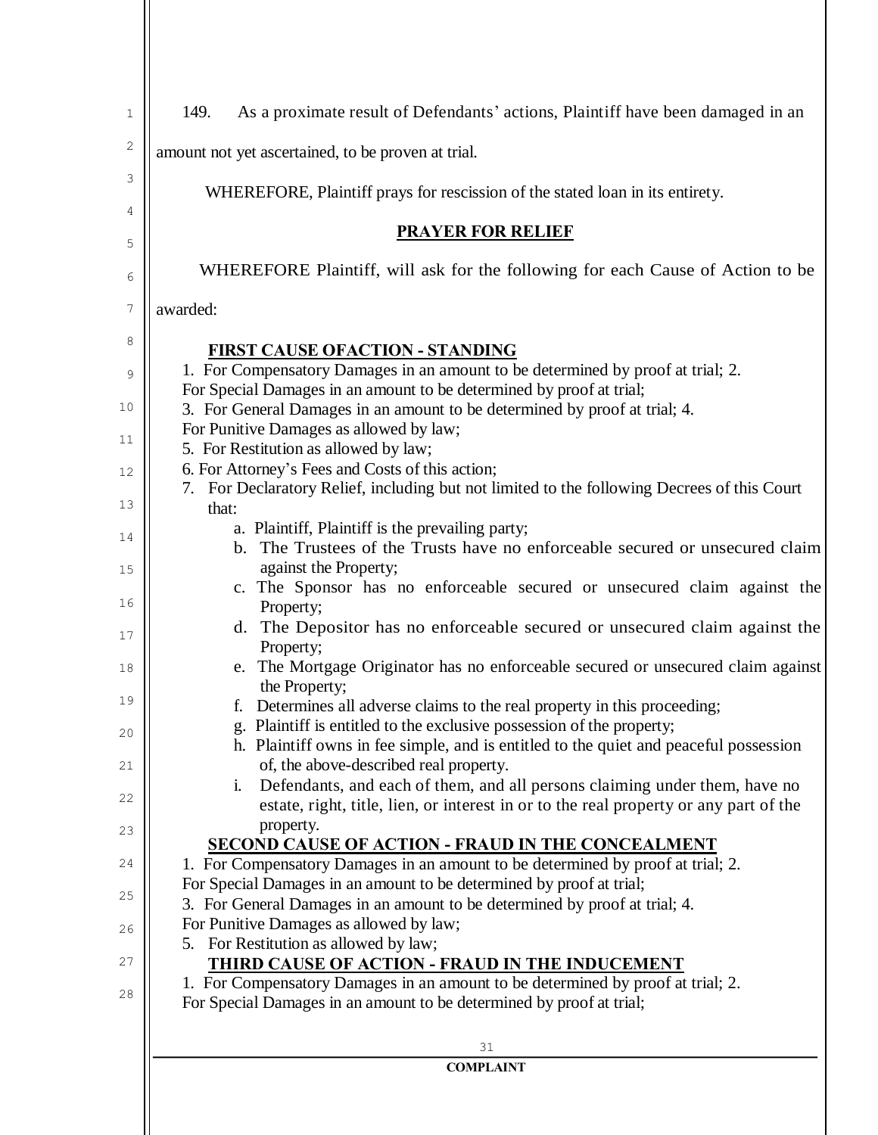| $\mathbf{1}$ | 149.<br>As a proximate result of Defendants' actions, Plaintiff have been damaged in an                                                                        |  |  |  |  |
|--------------|----------------------------------------------------------------------------------------------------------------------------------------------------------------|--|--|--|--|
| 2            | amount not yet ascertained, to be proven at trial.                                                                                                             |  |  |  |  |
| 3            |                                                                                                                                                                |  |  |  |  |
| 4            | WHEREFORE, Plaintiff prays for rescission of the stated loan in its entirety.                                                                                  |  |  |  |  |
| 5            | <b>PRAYER FOR RELIEF</b>                                                                                                                                       |  |  |  |  |
| 6            | WHEREFORE Plaintiff, will ask for the following for each Cause of Action to be                                                                                 |  |  |  |  |
| 7            | awarded:                                                                                                                                                       |  |  |  |  |
| 8            | <b>FIRST CAUSE OFACTION - STANDING</b>                                                                                                                         |  |  |  |  |
| 9            | 1. For Compensatory Damages in an amount to be determined by proof at trial; 2.                                                                                |  |  |  |  |
| 10           | For Special Damages in an amount to be determined by proof at trial;<br>3. For General Damages in an amount to be determined by proof at trial; 4.             |  |  |  |  |
|              | For Punitive Damages as allowed by law;                                                                                                                        |  |  |  |  |
| 11           | 5. For Restitution as allowed by law;                                                                                                                          |  |  |  |  |
| 12           | 6. For Attorney's Fees and Costs of this action;                                                                                                               |  |  |  |  |
| 13           | 7. For Declaratory Relief, including but not limited to the following Decrees of this Court<br>that:                                                           |  |  |  |  |
| 14           | a. Plaintiff, Plaintiff is the prevailing party;                                                                                                               |  |  |  |  |
|              | b. The Trustees of the Trusts have no enforceable secured or unsecured claim                                                                                   |  |  |  |  |
| 15           | against the Property;<br>c. The Sponsor has no enforceable secured or unsecured claim against the                                                              |  |  |  |  |
| 16           | Property;                                                                                                                                                      |  |  |  |  |
| 17           | d. The Depositor has no enforceable secured or unsecured claim against the                                                                                     |  |  |  |  |
| 18           | Property;<br>e. The Mortgage Originator has no enforceable secured or unsecured claim against                                                                  |  |  |  |  |
|              | the Property;                                                                                                                                                  |  |  |  |  |
| 19           | Determines all adverse claims to the real property in this proceeding;                                                                                         |  |  |  |  |
| 20           | g. Plaintiff is entitled to the exclusive possession of the property;<br>h. Plaintiff owns in fee simple, and is entitled to the quiet and peaceful possession |  |  |  |  |
| 21           | of, the above-described real property.                                                                                                                         |  |  |  |  |
|              | Defendants, and each of them, and all persons claiming under them, have no<br>$\ddot{\mathbf{i}}$ .                                                            |  |  |  |  |
| 22           | estate, right, title, lien, or interest in or to the real property or any part of the                                                                          |  |  |  |  |
| 23           | property.<br><b>SECOND CAUSE OF ACTION - FRAUD IN THE CONCEALMENT</b>                                                                                          |  |  |  |  |
| 24           | 1. For Compensatory Damages in an amount to be determined by proof at trial; 2.                                                                                |  |  |  |  |
| 25           | For Special Damages in an amount to be determined by proof at trial;                                                                                           |  |  |  |  |
|              | 3. For General Damages in an amount to be determined by proof at trial; 4.<br>For Punitive Damages as allowed by law;                                          |  |  |  |  |
| 26           | 5. For Restitution as allowed by law;                                                                                                                          |  |  |  |  |
| 27           | THIRD CAUSE OF ACTION - FRAUD IN THE INDUCEMENT                                                                                                                |  |  |  |  |
| 28           | 1. For Compensatory Damages in an amount to be determined by proof at trial; 2.                                                                                |  |  |  |  |
|              | For Special Damages in an amount to be determined by proof at trial;                                                                                           |  |  |  |  |
|              | 31                                                                                                                                                             |  |  |  |  |
|              | <b>COMPLAINT</b>                                                                                                                                               |  |  |  |  |
|              |                                                                                                                                                                |  |  |  |  |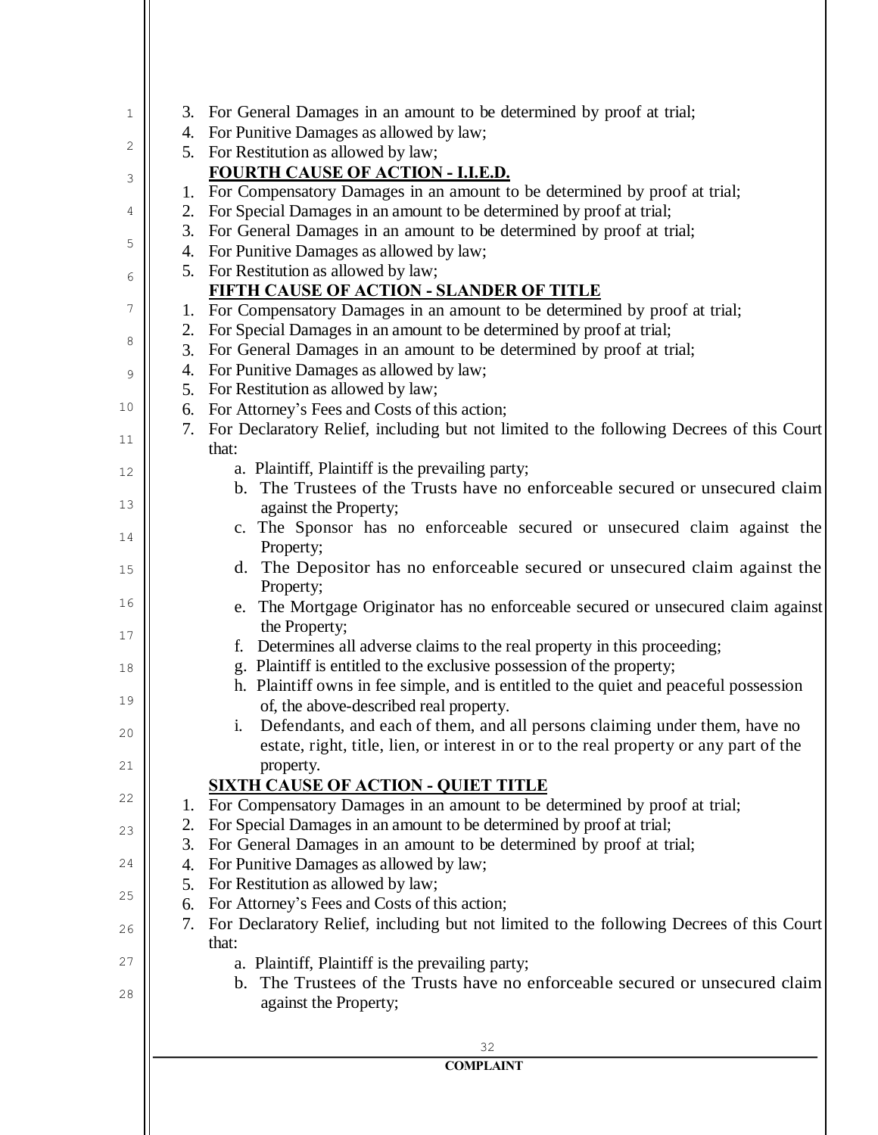| 1  |    | 3. For General Damages in an amount to be determined by proof at trial;                                                                      |
|----|----|----------------------------------------------------------------------------------------------------------------------------------------------|
|    |    | 4. For Punitive Damages as allowed by law;                                                                                                   |
| 2  |    | 5. For Restitution as allowed by law;                                                                                                        |
| 3  |    | FOURTH CAUSE OF ACTION - I.I.E.D.                                                                                                            |
|    |    | 1. For Compensatory Damages in an amount to be determined by proof at trial;                                                                 |
| 4  |    | 2. For Special Damages in an amount to be determined by proof at trial;                                                                      |
| 5  |    | 3. For General Damages in an amount to be determined by proof at trial;                                                                      |
|    |    | 4. For Punitive Damages as allowed by law;                                                                                                   |
| 6  |    | 5. For Restitution as allowed by law;                                                                                                        |
|    |    | <b>FIFTH CAUSE OF ACTION - SLANDER OF TITLE</b>                                                                                              |
| 7  |    | 1. For Compensatory Damages in an amount to be determined by proof at trial;                                                                 |
| 8  |    | 2. For Special Damages in an amount to be determined by proof at trial;                                                                      |
|    |    | 3. For General Damages in an amount to be determined by proof at trial;                                                                      |
| 9  |    | 4. For Punitive Damages as allowed by law;                                                                                                   |
| 10 |    | 5. For Restitution as allowed by law;                                                                                                        |
|    |    | 6. For Attorney's Fees and Costs of this action;                                                                                             |
| 11 |    | 7. For Declaratory Relief, including but not limited to the following Decrees of this Court<br>that:                                         |
|    |    | a. Plaintiff, Plaintiff is the prevailing party;                                                                                             |
| 12 |    | b. The Trustees of the Trusts have no enforceable secured or unsecured claim                                                                 |
| 13 |    | against the Property;                                                                                                                        |
|    |    | c. The Sponsor has no enforceable secured or unsecured claim against the                                                                     |
| 14 |    | Property;                                                                                                                                    |
| 15 |    | d. The Depositor has no enforceable secured or unsecured claim against the                                                                   |
|    |    | Property;                                                                                                                                    |
| 16 |    | e. The Mortgage Originator has no enforceable secured or unsecured claim against                                                             |
|    |    | the Property;                                                                                                                                |
| 17 |    | f. Determines all adverse claims to the real property in this proceeding;                                                                    |
| 18 |    | g. Plaintiff is entitled to the exclusive possession of the property;                                                                        |
|    |    | h. Plaintiff owns in fee simple, and is entitled to the quiet and peaceful possession                                                        |
| 19 |    | of, the above-described real property.                                                                                                       |
| 20 |    | i. Defendants, and each of them, and all persons claiming under them, have no                                                                |
|    |    | estate, right, title, lien, or interest in or to the real property or any part of the                                                        |
| 21 |    | property.                                                                                                                                    |
| 22 |    | <b>SIXTH CAUSE OF ACTION - QUIET TITLE</b>                                                                                                   |
|    | 1. | For Compensatory Damages in an amount to be determined by proof at trial;                                                                    |
| 23 | 2. | For Special Damages in an amount to be determined by proof at trial;                                                                         |
|    | 3. | For General Damages in an amount to be determined by proof at trial;                                                                         |
| 24 | 4. | For Punitive Damages as allowed by law;                                                                                                      |
| 25 | 5. | For Restitution as allowed by law;                                                                                                           |
|    | 6. | For Attorney's Fees and Costs of this action;                                                                                                |
| 26 | 7. | For Declaratory Relief, including but not limited to the following Decrees of this Court                                                     |
| 27 |    | that:                                                                                                                                        |
|    |    | a. Plaintiff, Plaintiff is the prevailing party;<br>The Trustees of the Trusts have no enforceable secured or unsecured claim<br>$b_{\cdot}$ |
| 28 |    |                                                                                                                                              |
|    |    | against the Property;                                                                                                                        |
|    |    |                                                                                                                                              |
|    |    | 32<br><b>COMPLAINT</b>                                                                                                                       |
|    |    |                                                                                                                                              |
|    |    |                                                                                                                                              |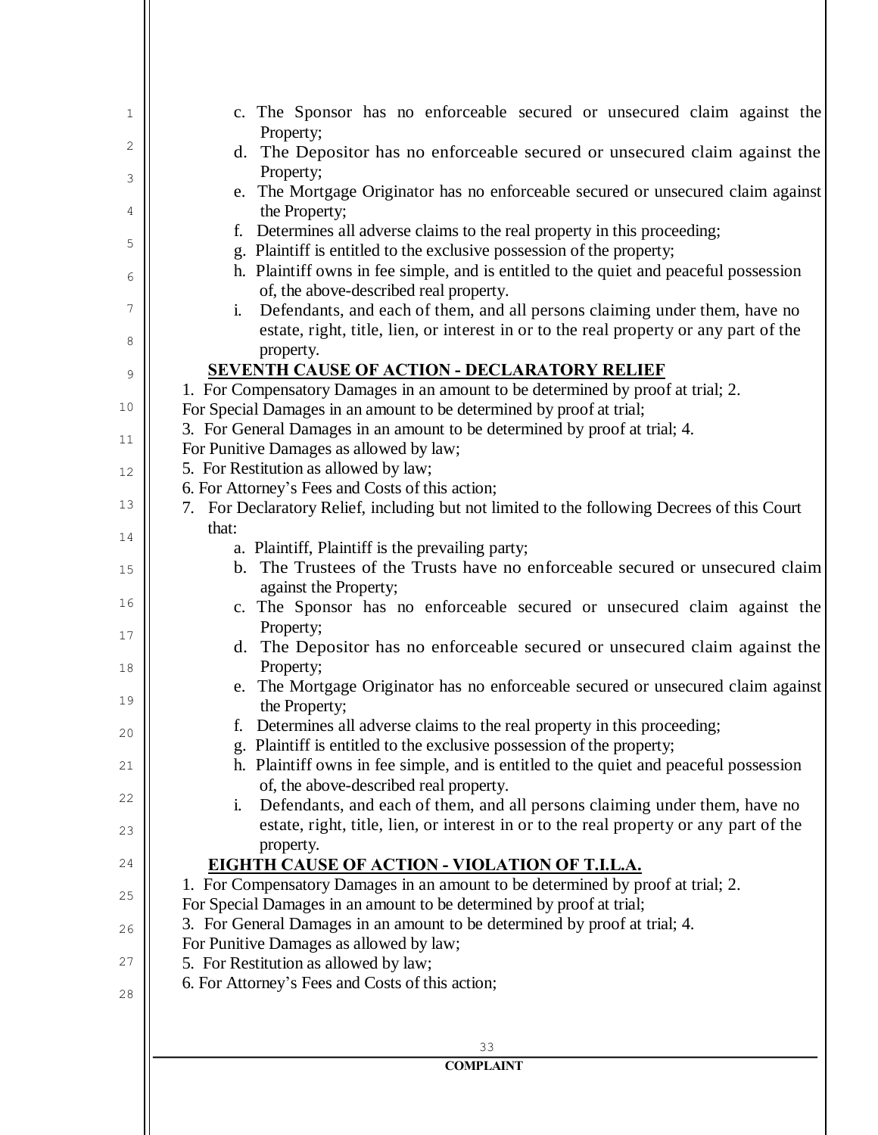| that:<br>a. Plaintiff, Plaintiff is the prevailing party;<br>b. The Trustees of the Trusts have no enforceable secured or unsecured claim<br>against the Property;<br>c. The Sponsor has no enforceable secured or unsecured claim against the<br>Property;<br>d. The Depositor has no enforceable secured or unsecured claim against the<br>Property;<br>e. The Mortgage Originator has no enforceable secured or unsecured claim against<br>the Property;<br>f. Determines all adverse claims to the real property in this proceeding;<br>g. Plaintiff is entitled to the exclusive possession of the property;<br>h. Plaintiff owns in fee simple, and is entitled to the quiet and peaceful possession<br>of, the above-described real property.<br>Defendants, and each of them, and all persons claiming under them, have no<br>i. | 13 |                                                                                           |
|------------------------------------------------------------------------------------------------------------------------------------------------------------------------------------------------------------------------------------------------------------------------------------------------------------------------------------------------------------------------------------------------------------------------------------------------------------------------------------------------------------------------------------------------------------------------------------------------------------------------------------------------------------------------------------------------------------------------------------------------------------------------------------------------------------------------------------------|----|-------------------------------------------------------------------------------------------|
|                                                                                                                                                                                                                                                                                                                                                                                                                                                                                                                                                                                                                                                                                                                                                                                                                                          |    |                                                                                           |
|                                                                                                                                                                                                                                                                                                                                                                                                                                                                                                                                                                                                                                                                                                                                                                                                                                          |    |                                                                                           |
|                                                                                                                                                                                                                                                                                                                                                                                                                                                                                                                                                                                                                                                                                                                                                                                                                                          | 15 |                                                                                           |
|                                                                                                                                                                                                                                                                                                                                                                                                                                                                                                                                                                                                                                                                                                                                                                                                                                          |    |                                                                                           |
|                                                                                                                                                                                                                                                                                                                                                                                                                                                                                                                                                                                                                                                                                                                                                                                                                                          |    |                                                                                           |
|                                                                                                                                                                                                                                                                                                                                                                                                                                                                                                                                                                                                                                                                                                                                                                                                                                          | 17 |                                                                                           |
|                                                                                                                                                                                                                                                                                                                                                                                                                                                                                                                                                                                                                                                                                                                                                                                                                                          | 18 |                                                                                           |
|                                                                                                                                                                                                                                                                                                                                                                                                                                                                                                                                                                                                                                                                                                                                                                                                                                          |    |                                                                                           |
|                                                                                                                                                                                                                                                                                                                                                                                                                                                                                                                                                                                                                                                                                                                                                                                                                                          |    |                                                                                           |
|                                                                                                                                                                                                                                                                                                                                                                                                                                                                                                                                                                                                                                                                                                                                                                                                                                          | 20 |                                                                                           |
|                                                                                                                                                                                                                                                                                                                                                                                                                                                                                                                                                                                                                                                                                                                                                                                                                                          | 21 |                                                                                           |
|                                                                                                                                                                                                                                                                                                                                                                                                                                                                                                                                                                                                                                                                                                                                                                                                                                          |    |                                                                                           |
|                                                                                                                                                                                                                                                                                                                                                                                                                                                                                                                                                                                                                                                                                                                                                                                                                                          | 22 |                                                                                           |
| estate, right, title, lien, or interest in or to the real property or any part of the                                                                                                                                                                                                                                                                                                                                                                                                                                                                                                                                                                                                                                                                                                                                                    | 23 |                                                                                           |
| property.                                                                                                                                                                                                                                                                                                                                                                                                                                                                                                                                                                                                                                                                                                                                                                                                                                |    |                                                                                           |
| <b>EIGHTH CAUSE OF ACTION - VIOLATION OF T.I.L.A.</b>                                                                                                                                                                                                                                                                                                                                                                                                                                                                                                                                                                                                                                                                                                                                                                                    | 24 |                                                                                           |
|                                                                                                                                                                                                                                                                                                                                                                                                                                                                                                                                                                                                                                                                                                                                                                                                                                          | 25 | 1. For Compensatory Damages in an amount to be determined by proof at trial; 2.           |
|                                                                                                                                                                                                                                                                                                                                                                                                                                                                                                                                                                                                                                                                                                                                                                                                                                          |    | For Special Damages in an amount to be determined by proof at trial;                      |
|                                                                                                                                                                                                                                                                                                                                                                                                                                                                                                                                                                                                                                                                                                                                                                                                                                          | 26 |                                                                                           |
| 3. For General Damages in an amount to be determined by proof at trial; 4.                                                                                                                                                                                                                                                                                                                                                                                                                                                                                                                                                                                                                                                                                                                                                               |    |                                                                                           |
| For Punitive Damages as allowed by law;                                                                                                                                                                                                                                                                                                                                                                                                                                                                                                                                                                                                                                                                                                                                                                                                  |    |                                                                                           |
|                                                                                                                                                                                                                                                                                                                                                                                                                                                                                                                                                                                                                                                                                                                                                                                                                                          | 28 |                                                                                           |
|                                                                                                                                                                                                                                                                                                                                                                                                                                                                                                                                                                                                                                                                                                                                                                                                                                          | 27 | 5. For Restitution as allowed by law;<br>6. For Attorney's Fees and Costs of this action; |
|                                                                                                                                                                                                                                                                                                                                                                                                                                                                                                                                                                                                                                                                                                                                                                                                                                          |    |                                                                                           |
|                                                                                                                                                                                                                                                                                                                                                                                                                                                                                                                                                                                                                                                                                                                                                                                                                                          |    |                                                                                           |
|                                                                                                                                                                                                                                                                                                                                                                                                                                                                                                                                                                                                                                                                                                                                                                                                                                          |    |                                                                                           |
|                                                                                                                                                                                                                                                                                                                                                                                                                                                                                                                                                                                                                                                                                                                                                                                                                                          |    |                                                                                           |
|                                                                                                                                                                                                                                                                                                                                                                                                                                                                                                                                                                                                                                                                                                                                                                                                                                          |    |                                                                                           |
|                                                                                                                                                                                                                                                                                                                                                                                                                                                                                                                                                                                                                                                                                                                                                                                                                                          |    |                                                                                           |
|                                                                                                                                                                                                                                                                                                                                                                                                                                                                                                                                                                                                                                                                                                                                                                                                                                          |    |                                                                                           |
|                                                                                                                                                                                                                                                                                                                                                                                                                                                                                                                                                                                                                                                                                                                                                                                                                                          |    |                                                                                           |
|                                                                                                                                                                                                                                                                                                                                                                                                                                                                                                                                                                                                                                                                                                                                                                                                                                          |    |                                                                                           |
|                                                                                                                                                                                                                                                                                                                                                                                                                                                                                                                                                                                                                                                                                                                                                                                                                                          |    |                                                                                           |
|                                                                                                                                                                                                                                                                                                                                                                                                                                                                                                                                                                                                                                                                                                                                                                                                                                          | 19 |                                                                                           |
|                                                                                                                                                                                                                                                                                                                                                                                                                                                                                                                                                                                                                                                                                                                                                                                                                                          |    |                                                                                           |
|                                                                                                                                                                                                                                                                                                                                                                                                                                                                                                                                                                                                                                                                                                                                                                                                                                          |    |                                                                                           |
|                                                                                                                                                                                                                                                                                                                                                                                                                                                                                                                                                                                                                                                                                                                                                                                                                                          |    |                                                                                           |
|                                                                                                                                                                                                                                                                                                                                                                                                                                                                                                                                                                                                                                                                                                                                                                                                                                          |    |                                                                                           |
|                                                                                                                                                                                                                                                                                                                                                                                                                                                                                                                                                                                                                                                                                                                                                                                                                                          |    |                                                                                           |
|                                                                                                                                                                                                                                                                                                                                                                                                                                                                                                                                                                                                                                                                                                                                                                                                                                          |    |                                                                                           |
|                                                                                                                                                                                                                                                                                                                                                                                                                                                                                                                                                                                                                                                                                                                                                                                                                                          | 16 |                                                                                           |
|                                                                                                                                                                                                                                                                                                                                                                                                                                                                                                                                                                                                                                                                                                                                                                                                                                          |    |                                                                                           |
|                                                                                                                                                                                                                                                                                                                                                                                                                                                                                                                                                                                                                                                                                                                                                                                                                                          |    |                                                                                           |
|                                                                                                                                                                                                                                                                                                                                                                                                                                                                                                                                                                                                                                                                                                                                                                                                                                          |    |                                                                                           |
|                                                                                                                                                                                                                                                                                                                                                                                                                                                                                                                                                                                                                                                                                                                                                                                                                                          | 14 |                                                                                           |
|                                                                                                                                                                                                                                                                                                                                                                                                                                                                                                                                                                                                                                                                                                                                                                                                                                          |    |                                                                                           |
|                                                                                                                                                                                                                                                                                                                                                                                                                                                                                                                                                                                                                                                                                                                                                                                                                                          |    |                                                                                           |
| 7. For Declaratory Relief, including but not limited to the following Decrees of this Court                                                                                                                                                                                                                                                                                                                                                                                                                                                                                                                                                                                                                                                                                                                                              |    |                                                                                           |
| 6. For Attorney's Fees and Costs of this action;                                                                                                                                                                                                                                                                                                                                                                                                                                                                                                                                                                                                                                                                                                                                                                                         | 12 | 5. For Restitution as allowed by law;                                                     |
|                                                                                                                                                                                                                                                                                                                                                                                                                                                                                                                                                                                                                                                                                                                                                                                                                                          | 11 | For Punitive Damages as allowed by law;                                                   |
|                                                                                                                                                                                                                                                                                                                                                                                                                                                                                                                                                                                                                                                                                                                                                                                                                                          |    | 3. For General Damages in an amount to be determined by proof at trial; 4.                |
|                                                                                                                                                                                                                                                                                                                                                                                                                                                                                                                                                                                                                                                                                                                                                                                                                                          | 10 | For Special Damages in an amount to be determined by proof at trial;                      |
|                                                                                                                                                                                                                                                                                                                                                                                                                                                                                                                                                                                                                                                                                                                                                                                                                                          |    |                                                                                           |
|                                                                                                                                                                                                                                                                                                                                                                                                                                                                                                                                                                                                                                                                                                                                                                                                                                          | 9  |                                                                                           |
| 1. For Compensatory Damages in an amount to be determined by proof at trial; 2.                                                                                                                                                                                                                                                                                                                                                                                                                                                                                                                                                                                                                                                                                                                                                          |    |                                                                                           |
| <b>SEVENTH CAUSE OF ACTION - DECLARATORY RELIEF</b>                                                                                                                                                                                                                                                                                                                                                                                                                                                                                                                                                                                                                                                                                                                                                                                      | 8  |                                                                                           |
| property.                                                                                                                                                                                                                                                                                                                                                                                                                                                                                                                                                                                                                                                                                                                                                                                                                                |    |                                                                                           |
| estate, right, title, lien, or interest in or to the real property or any part of the                                                                                                                                                                                                                                                                                                                                                                                                                                                                                                                                                                                                                                                                                                                                                    | 7  | Defendants, and each of them, and all persons claiming under them, have no<br>$\dot{1}$ . |
|                                                                                                                                                                                                                                                                                                                                                                                                                                                                                                                                                                                                                                                                                                                                                                                                                                          |    |                                                                                           |
|                                                                                                                                                                                                                                                                                                                                                                                                                                                                                                                                                                                                                                                                                                                                                                                                                                          |    |                                                                                           |
| of, the above-described real property.                                                                                                                                                                                                                                                                                                                                                                                                                                                                                                                                                                                                                                                                                                                                                                                                   | 6  | h. Plaintiff owns in fee simple, and is entitled to the quiet and peaceful possession     |
|                                                                                                                                                                                                                                                                                                                                                                                                                                                                                                                                                                                                                                                                                                                                                                                                                                          |    |                                                                                           |
|                                                                                                                                                                                                                                                                                                                                                                                                                                                                                                                                                                                                                                                                                                                                                                                                                                          | 5  |                                                                                           |
| g. Plaintiff is entitled to the exclusive possession of the property;                                                                                                                                                                                                                                                                                                                                                                                                                                                                                                                                                                                                                                                                                                                                                                    |    | Determines all adverse claims to the real property in this proceeding;<br>f.              |
|                                                                                                                                                                                                                                                                                                                                                                                                                                                                                                                                                                                                                                                                                                                                                                                                                                          | 4  | the Property;                                                                             |
|                                                                                                                                                                                                                                                                                                                                                                                                                                                                                                                                                                                                                                                                                                                                                                                                                                          |    | e. The Mortgage Originator has no enforceable secured or unsecured claim against          |
|                                                                                                                                                                                                                                                                                                                                                                                                                                                                                                                                                                                                                                                                                                                                                                                                                                          | 3  | Property;                                                                                 |
|                                                                                                                                                                                                                                                                                                                                                                                                                                                                                                                                                                                                                                                                                                                                                                                                                                          | 2  |                                                                                           |
|                                                                                                                                                                                                                                                                                                                                                                                                                                                                                                                                                                                                                                                                                                                                                                                                                                          |    | Property;                                                                                 |
| d. The Depositor has no enforceable secured or unsecured claim against the                                                                                                                                                                                                                                                                                                                                                                                                                                                                                                                                                                                                                                                                                                                                                               | 1  | c. The Sponsor has no enforceable secured or unsecured claim against the                  |
|                                                                                                                                                                                                                                                                                                                                                                                                                                                                                                                                                                                                                                                                                                                                                                                                                                          |    |                                                                                           |
|                                                                                                                                                                                                                                                                                                                                                                                                                                                                                                                                                                                                                                                                                                                                                                                                                                          |    |                                                                                           |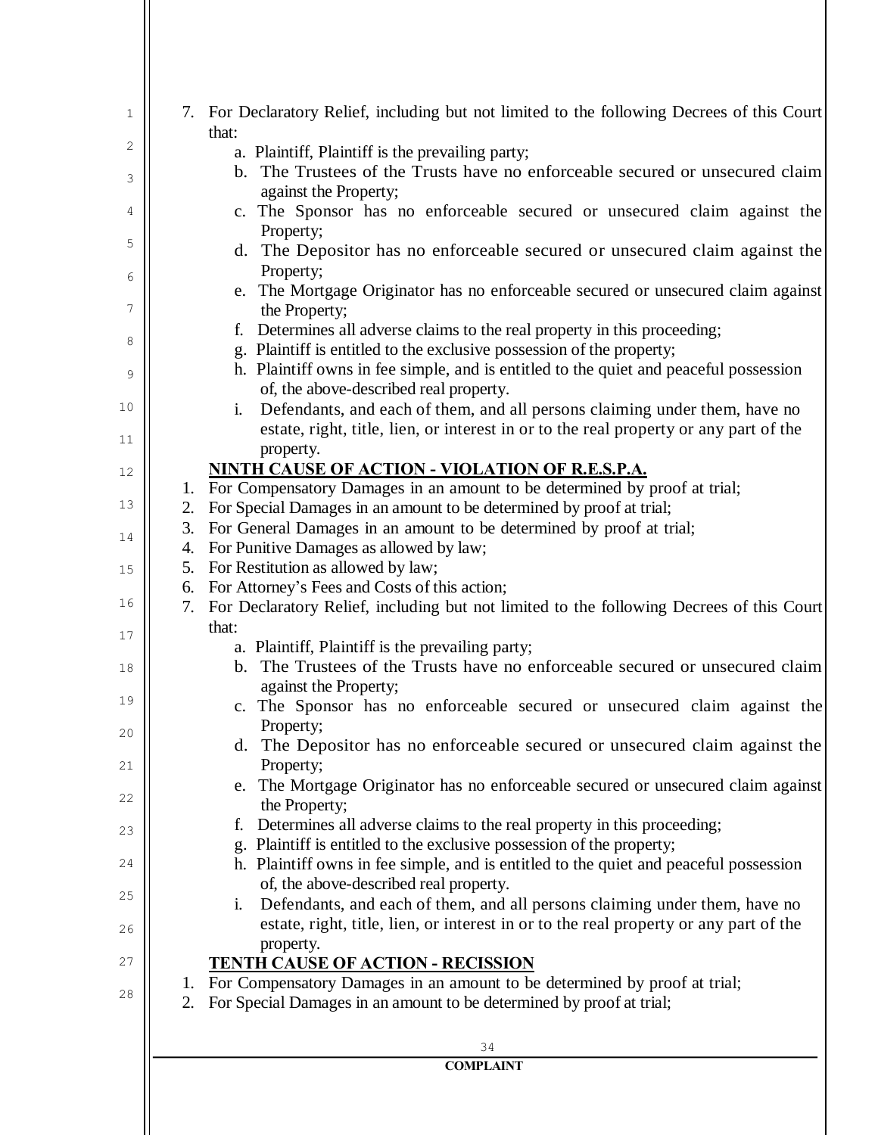| 1        | 7. For Declaratory Relief, including but not limited to the following Decrees of this Court<br>that:                                                  |
|----------|-------------------------------------------------------------------------------------------------------------------------------------------------------|
| 2        | a. Plaintiff, Plaintiff is the prevailing party;                                                                                                      |
| 3        | b. The Trustees of the Trusts have no enforceable secured or unsecured claim<br>against the Property;                                                 |
| 4        | c. The Sponsor has no enforceable secured or unsecured claim against the<br>Property;                                                                 |
| 5        | d. The Depositor has no enforceable secured or unsecured claim against the                                                                            |
| 6        | Property;<br>e. The Mortgage Originator has no enforceable secured or unsecured claim against                                                         |
| 7        | the Property;<br>f. Determines all adverse claims to the real property in this proceeding;                                                            |
| 8        | g. Plaintiff is entitled to the exclusive possession of the property;                                                                                 |
|          | h. Plaintiff owns in fee simple, and is entitled to the quiet and peaceful possession                                                                 |
| 9        | of, the above-described real property.                                                                                                                |
| 10       | Defendants, and each of them, and all persons claiming under them, have no<br>$\mathbf{i}$ .                                                          |
|          | estate, right, title, lien, or interest in or to the real property or any part of the                                                                 |
| 11       | property.                                                                                                                                             |
| 12       | NINTH CAUSE OF ACTION - VIOLATION OF R.E.S.P.A.                                                                                                       |
|          | 1. For Compensatory Damages in an amount to be determined by proof at trial;                                                                          |
| 13       | For Special Damages in an amount to be determined by proof at trial;<br>2.                                                                            |
|          | For General Damages in an amount to be determined by proof at trial;<br>3.                                                                            |
| 14       | For Punitive Damages as allowed by law;<br>4.                                                                                                         |
| 15       | For Restitution as allowed by law;<br>5.                                                                                                              |
|          | 6. For Attorney's Fees and Costs of this action;                                                                                                      |
| 16       | 7. For Declaratory Relief, including but not limited to the following Decrees of this Court                                                           |
| 17       | that:                                                                                                                                                 |
|          | a. Plaintiff, Plaintiff is the prevailing party;                                                                                                      |
| 18       | b. The Trustees of the Trusts have no enforceable secured or unsecured claim<br>against the Property;                                                 |
| 19<br>20 | c. The Sponsor has no enforceable secured or unsecured claim against the<br>Property;                                                                 |
| 21       | d. The Depositor has no enforceable secured or unsecured claim against the<br>Property;                                                               |
|          | e. The Mortgage Originator has no enforceable secured or unsecured claim against                                                                      |
| 22       | the Property;                                                                                                                                         |
| 23       | Determines all adverse claims to the real property in this proceeding;<br>f.<br>g. Plaintiff is entitled to the exclusive possession of the property; |
| 24       | h. Plaintiff owns in fee simple, and is entitled to the quiet and peaceful possession                                                                 |
|          | of, the above-described real property.                                                                                                                |
| 25       | Defendants, and each of them, and all persons claiming under them, have no<br>i.                                                                      |
|          | estate, right, title, lien, or interest in or to the real property or any part of the                                                                 |
| 26       | property.                                                                                                                                             |
| 27       | <b>TENTH CAUSE OF ACTION - RECISSION</b>                                                                                                              |
|          | 1. For Compensatory Damages in an amount to be determined by proof at trial;                                                                          |
| 28       | For Special Damages in an amount to be determined by proof at trial;<br>2.                                                                            |
|          | 34                                                                                                                                                    |
|          | <b>COMPLAINT</b>                                                                                                                                      |
|          |                                                                                                                                                       |
|          |                                                                                                                                                       |